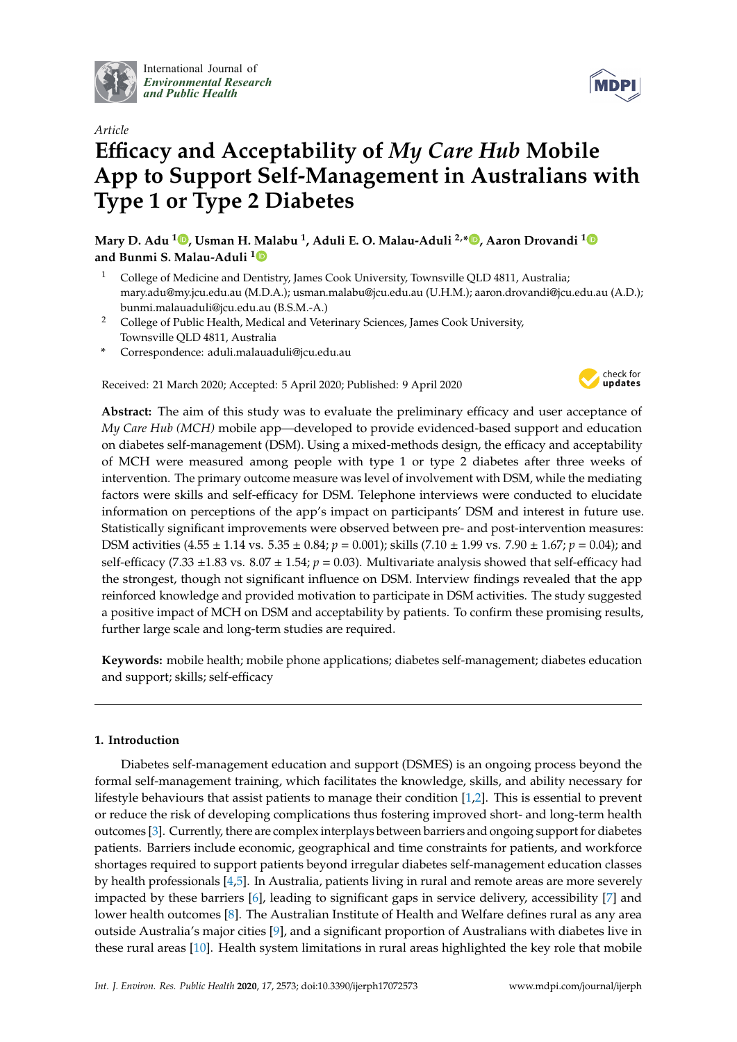

International Journal of *[Environmental Research](http://www.mdpi.com/journal/ijerph) and Public Health*



# *Article* **E**ffi**cacy and Acceptability of** *My Care Hub* **Mobile App to Support Self-Management in Australians with Type 1 or Type 2 Diabetes**

**Mary D. Adu [1](https://orcid.org/0000-0003-0046-9215) , Usman H. Malabu <sup>1</sup> , Aduli E. O. Malau-Aduli 2,\* [,](https://orcid.org/0000-0002-3660-7862) Aaron Drovandi [1](https://orcid.org/0000-0002-8682-1218) and Bunmi S. Malau-Aduli [1](https://orcid.org/0000-0001-6054-8498)**

- <sup>1</sup> College of Medicine and Dentistry, James Cook University, Townsville QLD 4811, Australia; mary.adu@my.jcu.edu.au (M.D.A.); usman.malabu@jcu.edu.au (U.H.M.); aaron.drovandi@jcu.edu.au (A.D.); bunmi.malauaduli@jcu.edu.au (B.S.M.-A.)
- <sup>2</sup> College of Public Health, Medical and Veterinary Sciences, James Cook University, Townsville QLD 4811, Australia
- **\*** Correspondence: aduli.malauaduli@jcu.edu.au

Received: 21 March 2020; Accepted: 5 April 2020; Published: 9 April 2020



**Abstract:** The aim of this study was to evaluate the preliminary efficacy and user acceptance of *My Care Hub (MCH)* mobile app—developed to provide evidenced-based support and education on diabetes self-management (DSM). Using a mixed-methods design, the efficacy and acceptability of MCH were measured among people with type 1 or type 2 diabetes after three weeks of intervention. The primary outcome measure was level of involvement with DSM, while the mediating factors were skills and self-efficacy for DSM. Telephone interviews were conducted to elucidate information on perceptions of the app's impact on participants' DSM and interest in future use. Statistically significant improvements were observed between pre- and post-intervention measures: DSM activities (4.55 ± 1.14 vs. 5.35 ± 0.84; *p* = 0.001); skills (7.10 ± 1.99 vs. 7.90 ± 1.67; *p* = 0.04); and self-efficacy (7.33 ±1.83 vs. 8.07 ± 1.54; *p* = 0.03). Multivariate analysis showed that self-efficacy had the strongest, though not significant influence on DSM. Interview findings revealed that the app reinforced knowledge and provided motivation to participate in DSM activities. The study suggested a positive impact of MCH on DSM and acceptability by patients. To confirm these promising results, further large scale and long-term studies are required.

**Keywords:** mobile health; mobile phone applications; diabetes self-management; diabetes education and support; skills; self-efficacy

# **1. Introduction**

Diabetes self-management education and support (DSMES) is an ongoing process beyond the formal self-management training, which facilitates the knowledge, skills, and ability necessary for lifestyle behaviours that assist patients to manage their condition [\[1](#page-14-0)[,2\]](#page-14-1). This is essential to prevent or reduce the risk of developing complications thus fostering improved short- and long-term health outcomes [\[3\]](#page-14-2). Currently, there are complex interplays between barriers and ongoing support for diabetes patients. Barriers include economic, geographical and time constraints for patients, and workforce shortages required to support patients beyond irregular diabetes self-management education classes by health professionals [\[4,](#page-14-3)[5\]](#page-14-4). In Australia, patients living in rural and remote areas are more severely impacted by these barriers [\[6\]](#page-14-5), leading to significant gaps in service delivery, accessibility [\[7\]](#page-14-6) and lower health outcomes [\[8\]](#page-14-7). The Australian Institute of Health and Welfare defines rural as any area outside Australia's major cities [\[9\]](#page-14-8), and a significant proportion of Australians with diabetes live in these rural areas [\[10\]](#page-14-9). Health system limitations in rural areas highlighted the key role that mobile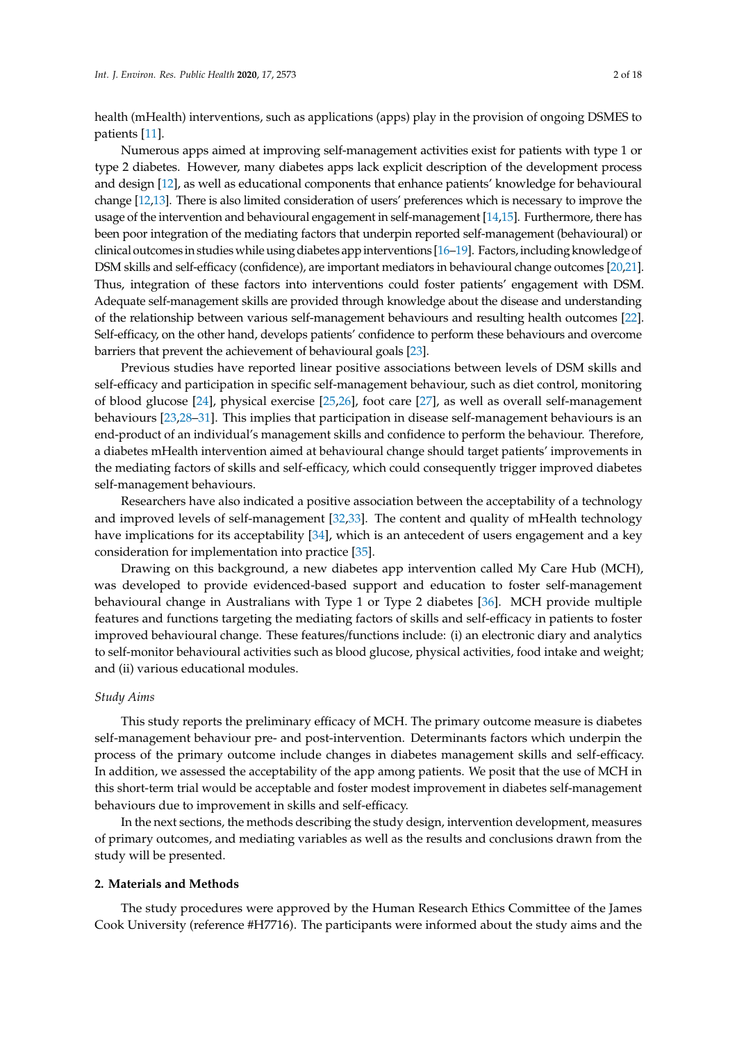health (mHealth) interventions, such as applications (apps) play in the provision of ongoing DSMES to patients [\[11\]](#page-14-10).

Numerous apps aimed at improving self-management activities exist for patients with type 1 or type 2 diabetes. However, many diabetes apps lack explicit description of the development process and design [\[12\]](#page-14-11), as well as educational components that enhance patients' knowledge for behavioural change [\[12,](#page-14-11)[13\]](#page-14-12). There is also limited consideration of users' preferences which is necessary to improve the usage of the intervention and behavioural engagement in self-management [\[14](#page-14-13)[,15\]](#page-14-14). Furthermore, there has been poor integration of the mediating factors that underpin reported self-management (behavioural) or clinical outcomes in studies while using diabetes app interventions [\[16](#page-15-0)[–19\]](#page-15-1). Factors, including knowledge of DSM skills and self-efficacy (confidence), are important mediators in behavioural change outcomes [\[20](#page-15-2)[,21\]](#page-15-3). Thus, integration of these factors into interventions could foster patients' engagement with DSM. Adequate self-management skills are provided through knowledge about the disease and understanding of the relationship between various self-management behaviours and resulting health outcomes [\[22\]](#page-15-4). Self-efficacy, on the other hand, develops patients' confidence to perform these behaviours and overcome barriers that prevent the achievement of behavioural goals [\[23\]](#page-15-5).

Previous studies have reported linear positive associations between levels of DSM skills and self-efficacy and participation in specific self-management behaviour, such as diet control, monitoring of blood glucose [\[24\]](#page-15-6), physical exercise [\[25,](#page-15-7)[26\]](#page-15-8), foot care [\[27\]](#page-15-9), as well as overall self-management behaviours [\[23,](#page-15-5)[28](#page-15-10)[–31\]](#page-15-11). This implies that participation in disease self-management behaviours is an end-product of an individual's management skills and confidence to perform the behaviour. Therefore, a diabetes mHealth intervention aimed at behavioural change should target patients' improvements in the mediating factors of skills and self-efficacy, which could consequently trigger improved diabetes self-management behaviours.

Researchers have also indicated a positive association between the acceptability of a technology and improved levels of self-management [\[32,](#page-15-12)[33\]](#page-15-13). The content and quality of mHealth technology have implications for its acceptability [\[34\]](#page-15-14), which is an antecedent of users engagement and a key consideration for implementation into practice [\[35\]](#page-15-15).

Drawing on this background, a new diabetes app intervention called My Care Hub (MCH), was developed to provide evidenced-based support and education to foster self-management behavioural change in Australians with Type 1 or Type 2 diabetes [\[36\]](#page-16-0). MCH provide multiple features and functions targeting the mediating factors of skills and self-efficacy in patients to foster improved behavioural change. These features/functions include: (i) an electronic diary and analytics to self-monitor behavioural activities such as blood glucose, physical activities, food intake and weight; and (ii) various educational modules.

## *Study Aims*

This study reports the preliminary efficacy of MCH. The primary outcome measure is diabetes self-management behaviour pre- and post-intervention. Determinants factors which underpin the process of the primary outcome include changes in diabetes management skills and self-efficacy. In addition, we assessed the acceptability of the app among patients. We posit that the use of MCH in this short-term trial would be acceptable and foster modest improvement in diabetes self-management behaviours due to improvement in skills and self-efficacy.

In the next sections, the methods describing the study design, intervention development, measures of primary outcomes, and mediating variables as well as the results and conclusions drawn from the study will be presented.

#### **2. Materials and Methods**

The study procedures were approved by the Human Research Ethics Committee of the James Cook University (reference #H7716). The participants were informed about the study aims and the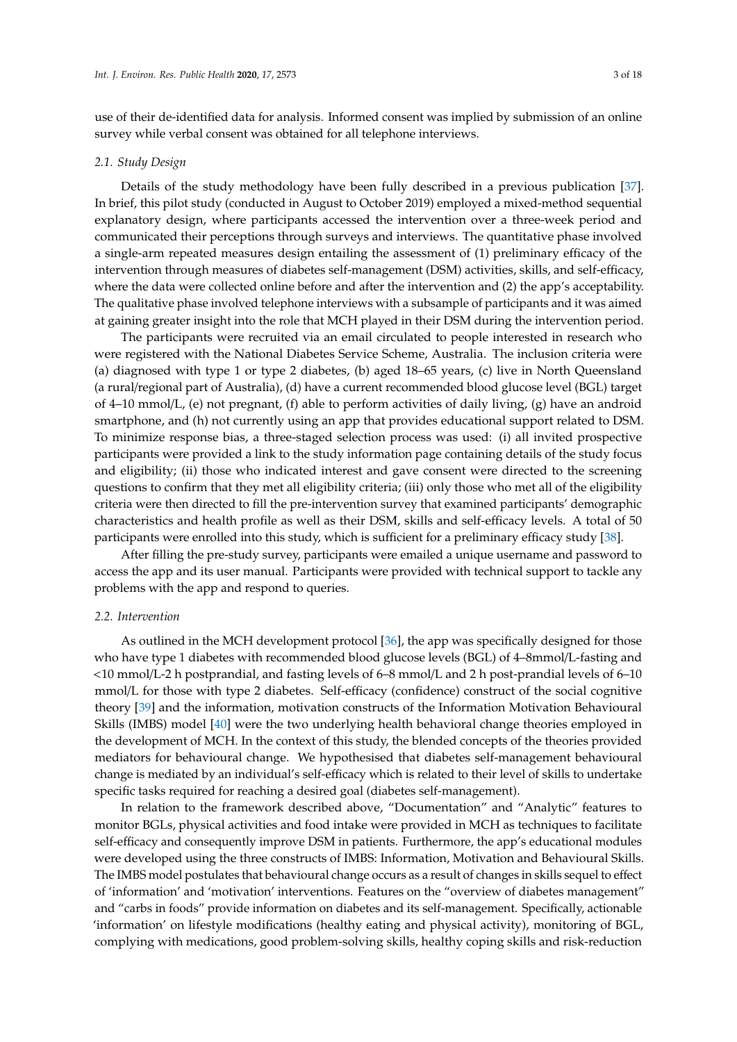use of their de-identified data for analysis. Informed consent was implied by submission of an online survey while verbal consent was obtained for all telephone interviews.

#### *2.1. Study Design*

Details of the study methodology have been fully described in a previous publication [\[37\]](#page-16-1). In brief, this pilot study (conducted in August to October 2019) employed a mixed-method sequential explanatory design, where participants accessed the intervention over a three-week period and communicated their perceptions through surveys and interviews. The quantitative phase involved a single-arm repeated measures design entailing the assessment of (1) preliminary efficacy of the intervention through measures of diabetes self-management (DSM) activities, skills, and self-efficacy, where the data were collected online before and after the intervention and (2) the app's acceptability. The qualitative phase involved telephone interviews with a subsample of participants and it was aimed at gaining greater insight into the role that MCH played in their DSM during the intervention period.

The participants were recruited via an email circulated to people interested in research who were registered with the National Diabetes Service Scheme, Australia. The inclusion criteria were (a) diagnosed with type 1 or type 2 diabetes, (b) aged 18–65 years, (c) live in North Queensland (a rural/regional part of Australia), (d) have a current recommended blood glucose level (BGL) target of 4–10 mmol/L, (e) not pregnant, (f) able to perform activities of daily living, (g) have an android smartphone, and (h) not currently using an app that provides educational support related to DSM. To minimize response bias, a three-staged selection process was used: (i) all invited prospective participants were provided a link to the study information page containing details of the study focus and eligibility; (ii) those who indicated interest and gave consent were directed to the screening questions to confirm that they met all eligibility criteria; (iii) only those who met all of the eligibility criteria were then directed to fill the pre-intervention survey that examined participants' demographic characteristics and health profile as well as their DSM, skills and self-efficacy levels. A total of 50 participants were enrolled into this study, which is sufficient for a preliminary efficacy study [\[38\]](#page-16-2).

After filling the pre-study survey, participants were emailed a unique username and password to access the app and its user manual. Participants were provided with technical support to tackle any problems with the app and respond to queries.

#### *2.2. Intervention*

As outlined in the MCH development protocol [\[36\]](#page-16-0), the app was specifically designed for those who have type 1 diabetes with recommended blood glucose levels (BGL) of 4–8mmol/L-fasting and <10 mmol/L-2 h postprandial, and fasting levels of 6–8 mmol/L and 2 h post-prandial levels of 6–10 mmol/L for those with type 2 diabetes. Self-efficacy (confidence) construct of the social cognitive theory [\[39\]](#page-16-3) and the information, motivation constructs of the Information Motivation Behavioural Skills (IMBS) model [\[40\]](#page-16-4) were the two underlying health behavioral change theories employed in the development of MCH. In the context of this study, the blended concepts of the theories provided mediators for behavioural change. We hypothesised that diabetes self-management behavioural change is mediated by an individual's self-efficacy which is related to their level of skills to undertake specific tasks required for reaching a desired goal (diabetes self-management).

In relation to the framework described above, "Documentation" and "Analytic" features to monitor BGLs, physical activities and food intake were provided in MCH as techniques to facilitate self-efficacy and consequently improve DSM in patients. Furthermore, the app's educational modules were developed using the three constructs of IMBS: Information, Motivation and Behavioural Skills. The IMBS model postulates that behavioural change occurs as a result of changes in skills sequel to effect of 'information' and 'motivation' interventions. Features on the "overview of diabetes management" and "carbs in foods" provide information on diabetes and its self-management. Specifically, actionable 'information' on lifestyle modifications (healthy eating and physical activity), monitoring of BGL, complying with medications, good problem-solving skills, healthy coping skills and risk-reduction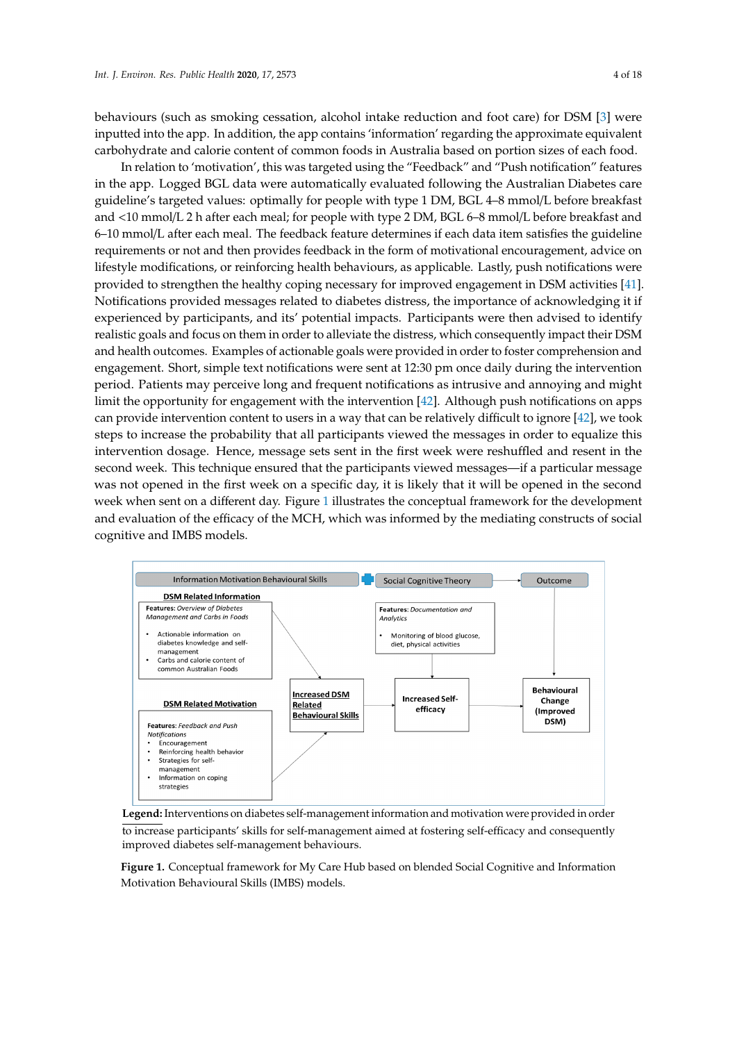behaviours (such as smoking cessation, alcohol intake reduction and foot care) for DSM [\[3\]](#page-14-2) were inputted into the app. In addition, the app contains 'information' regarding the approximate equivalent carbohydrate and calorie content of common foods in Australia based on portion sizes of each food. portion sizes of each food.

In relation to 'motivation', this was targeted using the "Feedback" and "Push notification" features In relation to 'motivation', this was targeted using the ''Feedback'' and ''Push notification'' in the app. Logged BGL data were automatically evaluated following the Australian Diabetes care guideline's targeted values: optimally for people with type 1 DM, BGL 4–8 mmol/L before breakfast and <10 mmol/L 2 h after each meal; for people with type 2 DM, BGL 6–8 mmol/L before breakfast and before breakfast and <10 mmol/L 2 h after each meal; for people with type 2 DM, BGL 6–8 mmol/L 6–10 mmol/L after each meal. The feedback feature determines if each data item satisfies the guideline requirements or not and then provides feedback in the form of motivational encouragement, advice on lifestyle modifications, or reinforcing health behaviours, as applicable. Lastly, push notifications were provided to strengthen the healthy coping necessary for improved engagement in DSM activities [\[41\]](#page-16-5). Notifications provided messages related to diabetes distress, the importance of acknowledging it if experienced by participants, and its' potential impacts. Participants were then advised to identify realistic goals and focus on them in order to alleviate the distress, which consequently impact their DSM and health outcomes. Examples of actionable goals were provided in order to foster comprehension and engagement. Short, simple text notifications were sent at 12:30 pm once daily during the intervention period. Patients may perceive long and frequent notifications as intrusive and annoying and might limit the opportunity for engagement with the intervention  $[42]$ . Although push notifications on apps can provide intervention content to users in a way that can be relatively difficult to ignore [\[42\]](#page-16-6), we took steps to increase the probability that all participants viewed the messages in order to equalize this intervention dosage. Hence, message sets sent in the first week were reshuffled and resent in the second week. This technique ensured that the participants viewed messages—if a particular message was not opened in the first week on a specific day, it is likely that it will be opened in the second week whe[n s](#page-3-0)ent on a different day. Figure 1 illustrates the conceptual framework for the development and evaluation of the efficacy of the MCH, which was informed by the mediating constructs of social  $\,$ cognitive and IMBS models. the mediating constructs of social cognitive and IMBS models.

<span id="page-3-0"></span>

**Legend:** Interventions on diabetes self-management information and motivation were provided in order **the contract of the contract of the contract of the contract of the contract of the contract of the contract of the con** to increase participants' skills for self-management aimed at fostering self-efficacy and consequently improved dishates self-management haboriours. diabetes self-management behaviours. improved diabetes self-management behaviours.

Motivation Behavioural Skills (IMBS) models. **Figure 1.** Conceptual framework for My Care Hub based on blended Social Cognitive and Information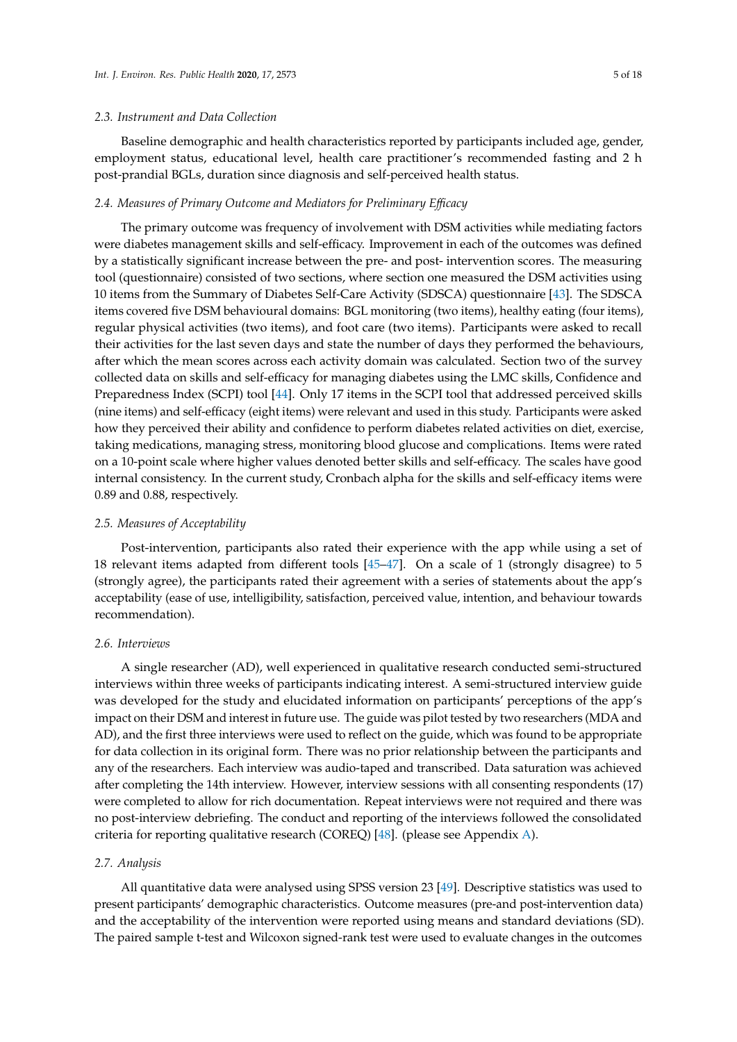Baseline demographic and health characteristics reported by participants included age, gender, employment status, educational level, health care practitioner's recommended fasting and 2 h post-prandial BGLs, duration since diagnosis and self-perceived health status.

#### *2.4. Measures of Primary Outcome and Mediators for Preliminary E*ffi*cacy*

The primary outcome was frequency of involvement with DSM activities while mediating factors were diabetes management skills and self-efficacy. Improvement in each of the outcomes was defined by a statistically significant increase between the pre- and post- intervention scores. The measuring tool (questionnaire) consisted of two sections, where section one measured the DSM activities using 10 items from the Summary of Diabetes Self-Care Activity (SDSCA) questionnaire [\[43\]](#page-16-7). The SDSCA items covered five DSM behavioural domains: BGL monitoring (two items), healthy eating (four items), regular physical activities (two items), and foot care (two items). Participants were asked to recall their activities for the last seven days and state the number of days they performed the behaviours, after which the mean scores across each activity domain was calculated. Section two of the survey collected data on skills and self-efficacy for managing diabetes using the LMC skills, Confidence and Preparedness Index (SCPI) tool [\[44\]](#page-16-8). Only 17 items in the SCPI tool that addressed perceived skills (nine items) and self-efficacy (eight items) were relevant and used in this study. Participants were asked how they perceived their ability and confidence to perform diabetes related activities on diet, exercise, taking medications, managing stress, monitoring blood glucose and complications. Items were rated on a 10-point scale where higher values denoted better skills and self-efficacy. The scales have good internal consistency. In the current study, Cronbach alpha for the skills and self-efficacy items were 0.89 and 0.88, respectively.

## *2.5. Measures of Acceptability*

Post-intervention, participants also rated their experience with the app while using a set of 18 relevant items adapted from different tools [\[45](#page-16-9)[–47\]](#page-16-10). On a scale of 1 (strongly disagree) to 5 (strongly agree), the participants rated their agreement with a series of statements about the app's acceptability (ease of use, intelligibility, satisfaction, perceived value, intention, and behaviour towards recommendation).

# *2.6. Interviews*

A single researcher (AD), well experienced in qualitative research conducted semi-structured interviews within three weeks of participants indicating interest. A semi-structured interview guide was developed for the study and elucidated information on participants' perceptions of the app's impact on their DSM and interest in future use. The guide was pilot tested by two researchers (MDA and AD), and the first three interviews were used to reflect on the guide, which was found to be appropriate for data collection in its original form. There was no prior relationship between the participants and any of the researchers. Each interview was audio-taped and transcribed. Data saturation was achieved after completing the 14th interview. However, interview sessions with all consenting respondents (17) were completed to allow for rich documentation. Repeat interviews were not required and there was no post-interview debriefing. The conduct and reporting of the interviews followed the consolidated criteria for reporting qualitative research (COREQ) [\[48\]](#page-16-11). (please see Appendix [A\)](#page-10-0).

#### *2.7. Analysis*

All quantitative data were analysed using SPSS version 23 [\[49\]](#page-16-12). Descriptive statistics was used to present participants' demographic characteristics. Outcome measures (pre-and post-intervention data) and the acceptability of the intervention were reported using means and standard deviations (SD). The paired sample t-test and Wilcoxon signed-rank test were used to evaluate changes in the outcomes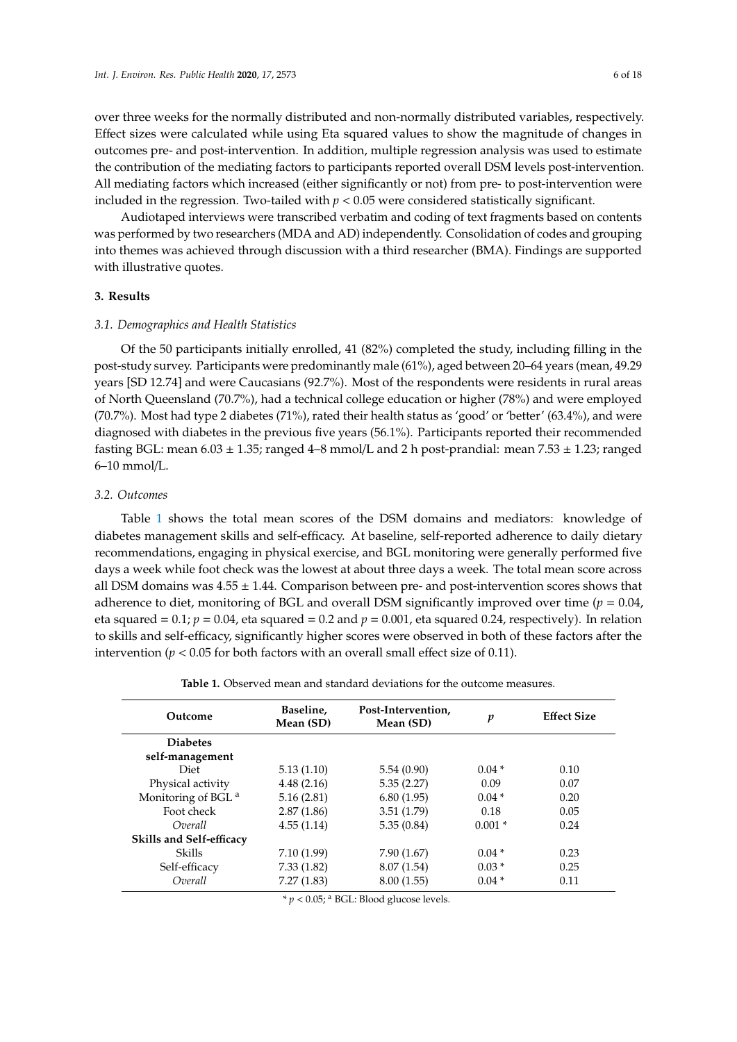over three weeks for the normally distributed and non-normally distributed variables, respectively. Effect sizes were calculated while using Eta squared values to show the magnitude of changes in outcomes pre- and post-intervention. In addition, multiple regression analysis was used to estimate the contribution of the mediating factors to participants reported overall DSM levels post-intervention. All mediating factors which increased (either significantly or not) from pre- to post-intervention were included in the regression. Two-tailed with  $p < 0.05$  were considered statistically significant.

Audiotaped interviews were transcribed verbatim and coding of text fragments based on contents was performed by two researchers (MDA and AD) independently. Consolidation of codes and grouping into themes was achieved through discussion with a third researcher (BMA). Findings are supported with illustrative quotes.

## **3. Results**

## *3.1. Demographics and Health Statistics*

Of the 50 participants initially enrolled, 41 (82%) completed the study, including filling in the post-study survey. Participants were predominantly male (61%), aged between 20–64 years (mean, 49.29 years [SD 12.74] and were Caucasians (92.7%). Most of the respondents were residents in rural areas of North Queensland (70.7%), had a technical college education or higher (78%) and were employed (70.7%). Most had type 2 diabetes (71%), rated their health status as 'good' or 'better' (63.4%), and were diagnosed with diabetes in the previous five years (56.1%). Participants reported their recommended fasting BGL: mean  $6.03 \pm 1.35$ ; ranged 4–8 mmol/L and 2 h post-prandial: mean  $7.53 \pm 1.23$ ; ranged 6–10 mmol/L.

## *3.2. Outcomes*

Table [1](#page-5-0) shows the total mean scores of the DSM domains and mediators: knowledge of diabetes management skills and self-efficacy. At baseline, self-reported adherence to daily dietary recommendations, engaging in physical exercise, and BGL monitoring were generally performed five days a week while foot check was the lowest at about three days a week. The total mean score across all DSM domains was  $4.55 \pm 1.44$ . Comparison between pre- and post-intervention scores shows that adherence to diet, monitoring of BGL and overall DSM significantly improved over time ( $p = 0.04$ , eta squared =  $0.1$ ;  $p = 0.04$ , eta squared = 0.2 and  $p = 0.001$ , eta squared 0.24, respectively). In relation to skills and self-efficacy, significantly higher scores were observed in both of these factors after the intervention ( $p < 0.05$  for both factors with an overall small effect size of 0.11).

<span id="page-5-0"></span>

| Outcome                         | Baseline,<br>Mean (SD) | Post-Intervention,<br>Mean (SD)                     | p        | <b>Effect Size</b> |
|---------------------------------|------------------------|-----------------------------------------------------|----------|--------------------|
| <b>Diabetes</b>                 |                        |                                                     |          |                    |
| self-management                 |                        |                                                     |          |                    |
| Diet                            | 5.13(1.10)             | 5.54(0.90)                                          | $0.04*$  | 0.10               |
| Physical activity               | 4.48(2.16)             | 5.35(2.27)                                          | 0.09     | 0.07               |
| Monitoring of BGL <sup>a</sup>  | 5.16(2.81)             | 6.80(1.95)                                          | $0.04*$  | 0.20               |
| Foot check                      | 2.87(1.86)             | 3.51(1.79)                                          | 0.18     | 0.05               |
| Overall                         | 4.55(1.14)             | 5.35(0.84)                                          | $0.001*$ | 0.24               |
| <b>Skills and Self-efficacy</b> |                        |                                                     |          |                    |
| Skills                          | 7.10 (1.99)            | 7.90(1.67)                                          | $0.04*$  | 0.23               |
| Self-efficacy                   | 7.33(1.82)             | 8.07(1.54)                                          | $0.03*$  | 0.25               |
| Overall                         | 7.27(1.83)             | 8.00(1.55)                                          | $0.04*$  | 0.11               |
|                                 |                        | $\mathcal{L}$ can apply to the set of $\mathcal{L}$ |          |                    |

**Table 1.** Observed mean and standard deviations for the outcome measures.

 $* p < 0.05$ ; <sup>a</sup> BGL: Blood glucose levels.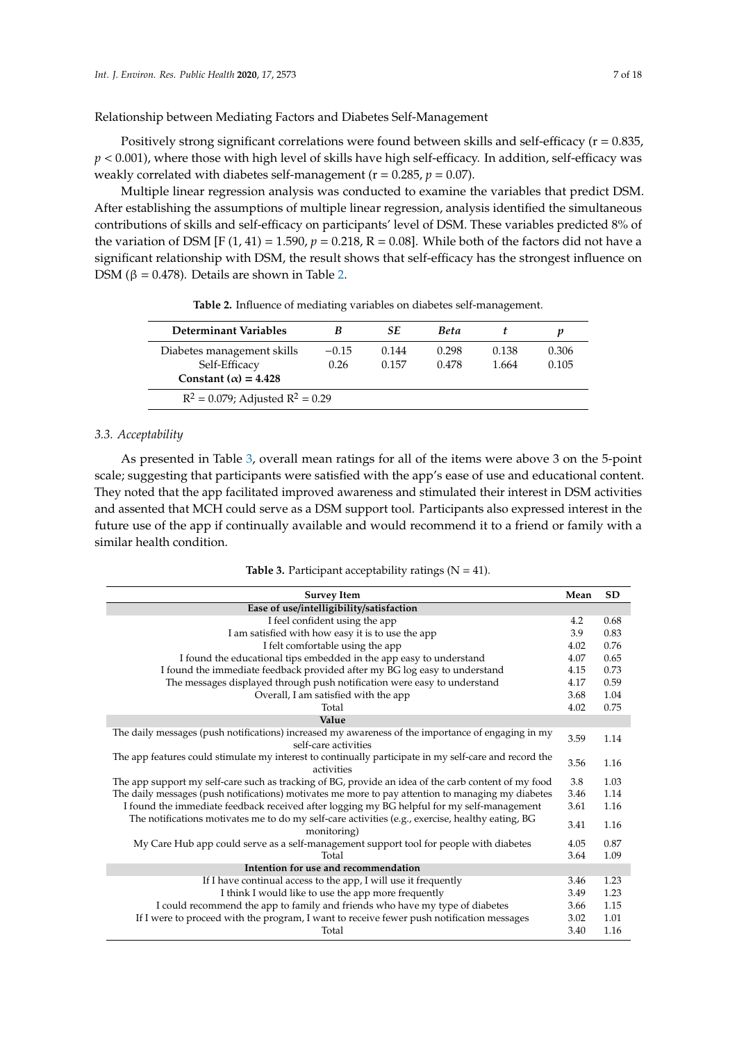Relationship between Mediating Factors and Diabetes Self-Management

Positively strong significant correlations were found between skills and self-efficacy ( $r = 0.835$ , *p* < 0.001), where those with high level of skills have high self-efficacy. In addition, self-efficacy was weakly correlated with diabetes self-management ( $r = 0.285$ ,  $p = 0.07$ ).

Multiple linear regression analysis was conducted to examine the variables that predict DSM. After establishing the assumptions of multiple linear regression, analysis identified the simultaneous contributions of skills and self-efficacy on participants' level of DSM. These variables predicted 8% of the variation of DSM [F (1, 41) = 1.590,  $p = 0.218$ , R = 0.08]. While both of the factors did not have a significant relationship with DSM, the result shows that self-efficacy has the strongest influence on DSM ( $β = 0.478$ ). Details are shown in Table [2.](#page-6-0)

<span id="page-6-0"></span>

| Determinant Variables                 | B       | <b>SE</b> | <b>Beta</b> |       |       |
|---------------------------------------|---------|-----------|-------------|-------|-------|
| Diabetes management skills            | $-0.15$ | 0.144     | 0.298       | 0.138 | 0.306 |
| Self-Efficacy                         | 0.26    | 0.157     | 0.478       | 1.664 | 0.105 |
| Constant ( $\alpha$ ) = 4.428         |         |           |             |       |       |
| $R^2 = 0.079$ ; Adjusted $R^2 = 0.29$ |         |           |             |       |       |

**Table 2.** Influence of mediating variables on diabetes self-management.

## *3.3. Acceptability*

As presented in Table [3,](#page-6-1) overall mean ratings for all of the items were above 3 on the 5-point scale; suggesting that participants were satisfied with the app's ease of use and educational content. They noted that the app facilitated improved awareness and stimulated their interest in DSM activities and assented that MCH could serve as a DSM support tool. Participants also expressed interest in the future use of the app if continually available and would recommend it to a friend or family with a similar health condition.

**Table 3.** Participant acceptability ratings  $(N = 41)$ .

<span id="page-6-1"></span>

| <b>Survey Item</b>                                                                                                         | Mean | <b>SD</b> |  |
|----------------------------------------------------------------------------------------------------------------------------|------|-----------|--|
| Ease of use/intelligibility/satisfaction                                                                                   |      |           |  |
| I feel confident using the app                                                                                             | 4.2  | 0.68      |  |
| I am satisfied with how easy it is to use the app                                                                          | 3.9  | 0.83      |  |
| I felt comfortable using the app                                                                                           | 4.02 | 0.76      |  |
| I found the educational tips embedded in the app easy to understand                                                        | 4.07 | 0.65      |  |
| I found the immediate feedback provided after my BG log easy to understand                                                 | 4.15 | 0.73      |  |
| The messages displayed through push notification were easy to understand                                                   | 4.17 | 0.59      |  |
| Overall, I am satisfied with the app                                                                                       | 3.68 | 1.04      |  |
| Total                                                                                                                      | 4.02 | 0.75      |  |
| Value                                                                                                                      |      |           |  |
| The daily messages (push notifications) increased my awareness of the importance of engaging in my<br>self-care activities | 3.59 | 1.14      |  |
| The app features could stimulate my interest to continually participate in my self-care and record the<br>activities       | 3.56 | 1.16      |  |
| The app support my self-care such as tracking of BG, provide an idea of the carb content of my food                        | 3.8  | 1.03      |  |
| The daily messages (push notifications) motivates me more to pay attention to managing my diabetes                         | 3.46 | 1.14      |  |
| I found the immediate feedback received after logging my BG helpful for my self-management                                 | 3.61 | 1.16      |  |
| The notifications motivates me to do my self-care activities (e.g., exercise, healthy eating, BG<br>monitoring)            | 3.41 | 1.16      |  |
| My Care Hub app could serve as a self-management support tool for people with diabetes                                     | 4.05 | 0.87      |  |
| Total                                                                                                                      | 3.64 | 1.09      |  |
| Intention for use and recommendation                                                                                       |      |           |  |
| If I have continual access to the app, I will use it frequently                                                            | 3.46 | 1.23      |  |
| I think I would like to use the app more frequently                                                                        | 3.49 | 1.23      |  |
| I could recommend the app to family and friends who have my type of diabetes                                               | 3.66 | 1.15      |  |
| If I were to proceed with the program, I want to receive fewer push notification messages                                  | 3.02 | 1.01      |  |
| Total                                                                                                                      | 3.40 | 1.16      |  |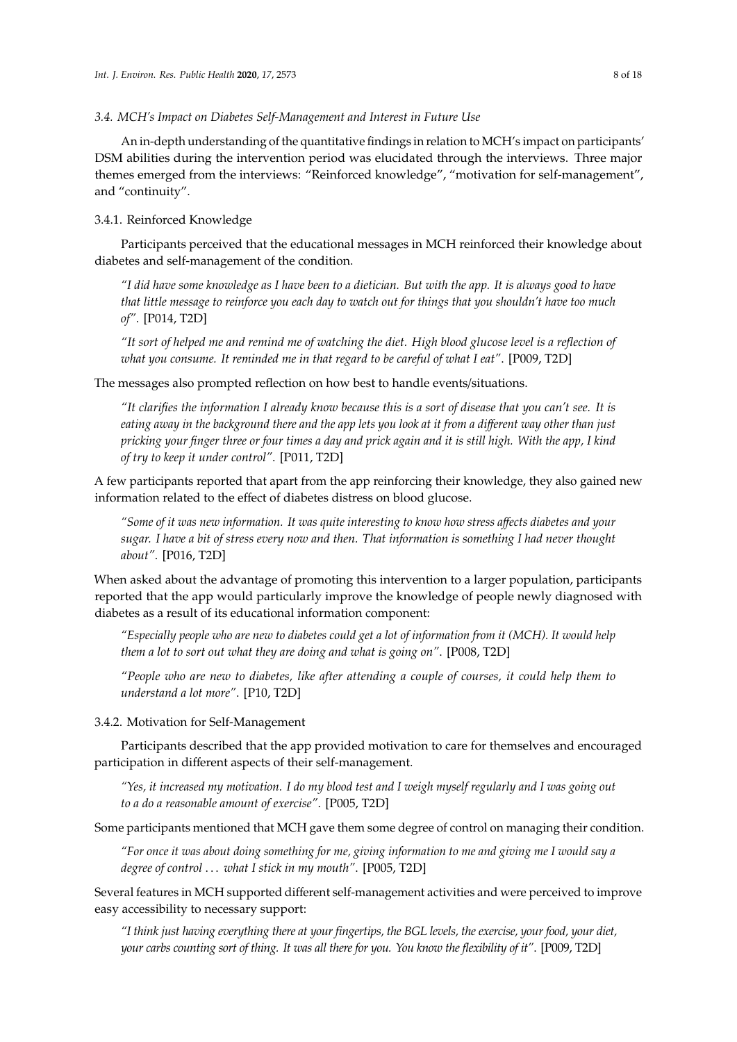## *3.4. MCH's Impact on Diabetes Self-Management and Interest in Future Use*

An in-depth understanding of the quantitative findings in relation to MCH's impact on participants' DSM abilities during the intervention period was elucidated through the interviews. Three major themes emerged from the interviews: "Reinforced knowledge", "motivation for self-management", and "continuity".

# 3.4.1. Reinforced Knowledge

Participants perceived that the educational messages in MCH reinforced their knowledge about diabetes and self-management of the condition.

*"I did have some knowledge as I have been to a dietician. But with the app. It is always good to have that little message to reinforce you each day to watch out for things that you shouldn't have too much of"*. [P014, T2D]

*"It sort of helped me and remind me of watching the diet. High blood glucose level is a reflection of what you consume. It reminded me in that regard to be careful of what I eat"*. [P009, T2D]

The messages also prompted reflection on how best to handle events/situations.

*"It clarifies the information I already know because this is a sort of disease that you can't see. It is eating away in the background there and the app lets you look at it from a di*ff*erent way other than just pricking your finger three or four times a day and prick again and it is still high. With the app, I kind of try to keep it under control"*. [P011, T2D]

A few participants reported that apart from the app reinforcing their knowledge, they also gained new information related to the effect of diabetes distress on blood glucose.

*"Some of it was new information. It was quite interesting to know how stress a*ff*ects diabetes and your sugar. I have a bit of stress every now and then. That information is something I had never thought about"*. [P016, T2D]

When asked about the advantage of promoting this intervention to a larger population, participants reported that the app would particularly improve the knowledge of people newly diagnosed with diabetes as a result of its educational information component:

*"Especially people who are new to diabetes could get a lot of information from it (MCH). It would help them a lot to sort out what they are doing and what is going on"*. [P008, T2D]

*"People who are new to diabetes, like after attending a couple of courses, it could help them to understand a lot more"*. [P10, T2D]

3.4.2. Motivation for Self-Management

Participants described that the app provided motivation to care for themselves and encouraged participation in different aspects of their self-management.

*"Yes, it increased my motivation. I do my blood test and I weigh myself regularly and I was going out to a do a reasonable amount of exercise"*. [P005, T2D]

Some participants mentioned that MCH gave them some degree of control on managing their condition.

*"For once it was about doing something for me, giving information to me and giving me I would say a degree of control* . . . *what I stick in my mouth"*. [P005, T2D]

Several features in MCH supported different self-management activities and were perceived to improve easy accessibility to necessary support:

*"I think just having everything there at your fingertips, the BGL levels, the exercise, your food, your diet, your carbs counting sort of thing. It was all there for you. You know the flexibility of it"*. [P009, T2D]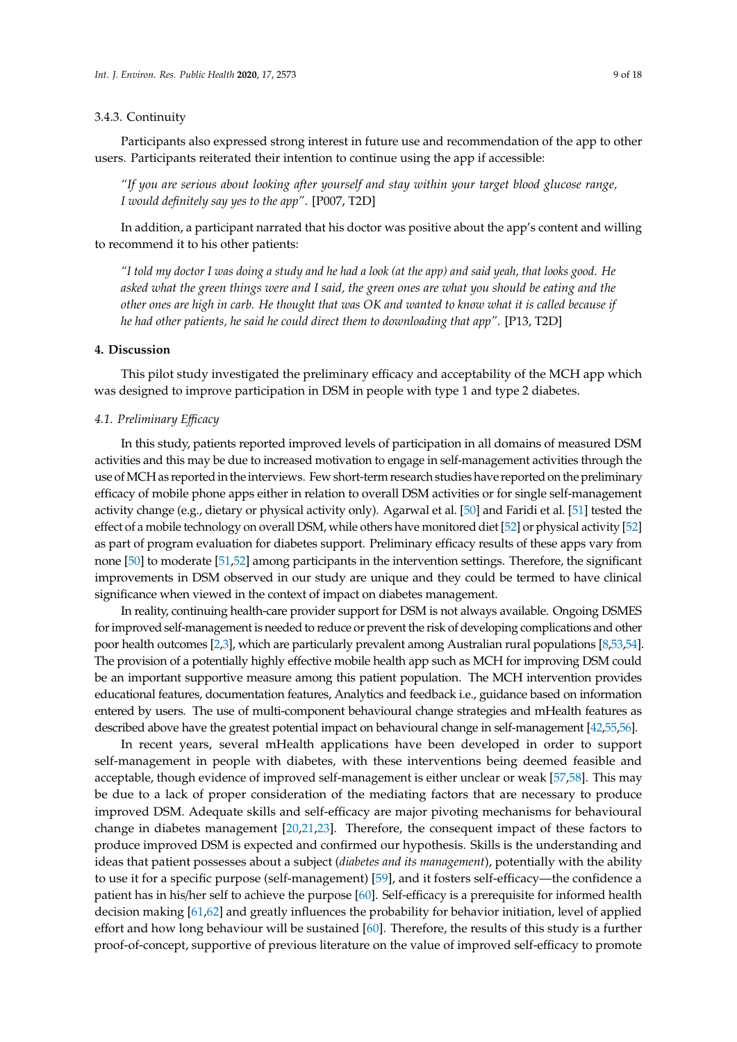#### 3.4.3. Continuity

Participants also expressed strong interest in future use and recommendation of the app to other users. Participants reiterated their intention to continue using the app if accessible:

*"If you are serious about looking after yourself and stay within your target blood glucose range, I would definitely say yes to the app"*. [P007, T2D]

In addition, a participant narrated that his doctor was positive about the app's content and willing to recommend it to his other patients:

*"I told my doctor I was doing a study and he had a look (at the app) and said yeah, that looks good. He asked what the green things were and I said, the green ones are what you should be eating and the other ones are high in carb. He thought that was OK and wanted to know what it is called because if he had other patients, he said he could direct them to downloading that app"*. [P13, T2D]

## **4. Discussion**

This pilot study investigated the preliminary efficacy and acceptability of the MCH app which was designed to improve participation in DSM in people with type 1 and type 2 diabetes.

#### *4.1. Preliminary E*ffi*cacy*

In this study, patients reported improved levels of participation in all domains of measured DSM activities and this may be due to increased motivation to engage in self-management activities through the use ofMCH as reported in the interviews. Few short-term research studies have reported on the preliminary efficacy of mobile phone apps either in relation to overall DSM activities or for single self-management activity change (e.g., dietary or physical activity only). Agarwal et al. [\[50\]](#page-16-13) and Faridi et al. [\[51\]](#page-16-14) tested the effect of a mobile technology on overall DSM, while others have monitored diet [\[52\]](#page-16-15) or physical activity [\[52\]](#page-16-15) as part of program evaluation for diabetes support. Preliminary efficacy results of these apps vary from none [\[50\]](#page-16-13) to moderate [\[51](#page-16-14)[,52\]](#page-16-15) among participants in the intervention settings. Therefore, the significant improvements in DSM observed in our study are unique and they could be termed to have clinical significance when viewed in the context of impact on diabetes management.

In reality, continuing health-care provider support for DSM is not always available. Ongoing DSMES for improved self-management is needed to reduce or prevent the risk of developing complications and other poor health outcomes [\[2,](#page-14-1)[3\]](#page-14-2), which are particularly prevalent among Australian rural populations [\[8,](#page-14-7)[53,](#page-16-16)[54\]](#page-16-17). The provision of a potentially highly effective mobile health app such as MCH for improving DSM could be an important supportive measure among this patient population. The MCH intervention provides educational features, documentation features, Analytics and feedback i.e., guidance based on information entered by users. The use of multi-component behavioural change strategies and mHealth features as described above have the greatest potential impact on behavioural change in self-management [\[42,](#page-16-6)[55](#page-16-18)[,56\]](#page-16-19).

In recent years, several mHealth applications have been developed in order to support self-management in people with diabetes, with these interventions being deemed feasible and acceptable, though evidence of improved self-management is either unclear or weak [\[57](#page-17-0)[,58\]](#page-17-1). This may be due to a lack of proper consideration of the mediating factors that are necessary to produce improved DSM. Adequate skills and self-efficacy are major pivoting mechanisms for behavioural change in diabetes management [\[20](#page-15-2)[,21](#page-15-3)[,23\]](#page-15-5). Therefore, the consequent impact of these factors to produce improved DSM is expected and confirmed our hypothesis. Skills is the understanding and ideas that patient possesses about a subject (*diabetes and its management*), potentially with the ability to use it for a specific purpose (self-management) [\[59\]](#page-17-2), and it fosters self-efficacy—the confidence a patient has in his/her self to achieve the purpose [\[60\]](#page-17-3). Self-efficacy is a prerequisite for informed health decision making [\[61,](#page-17-4)[62\]](#page-17-5) and greatly influences the probability for behavior initiation, level of applied effort and how long behaviour will be sustained [\[60\]](#page-17-3). Therefore, the results of this study is a further proof-of-concept, supportive of previous literature on the value of improved self-efficacy to promote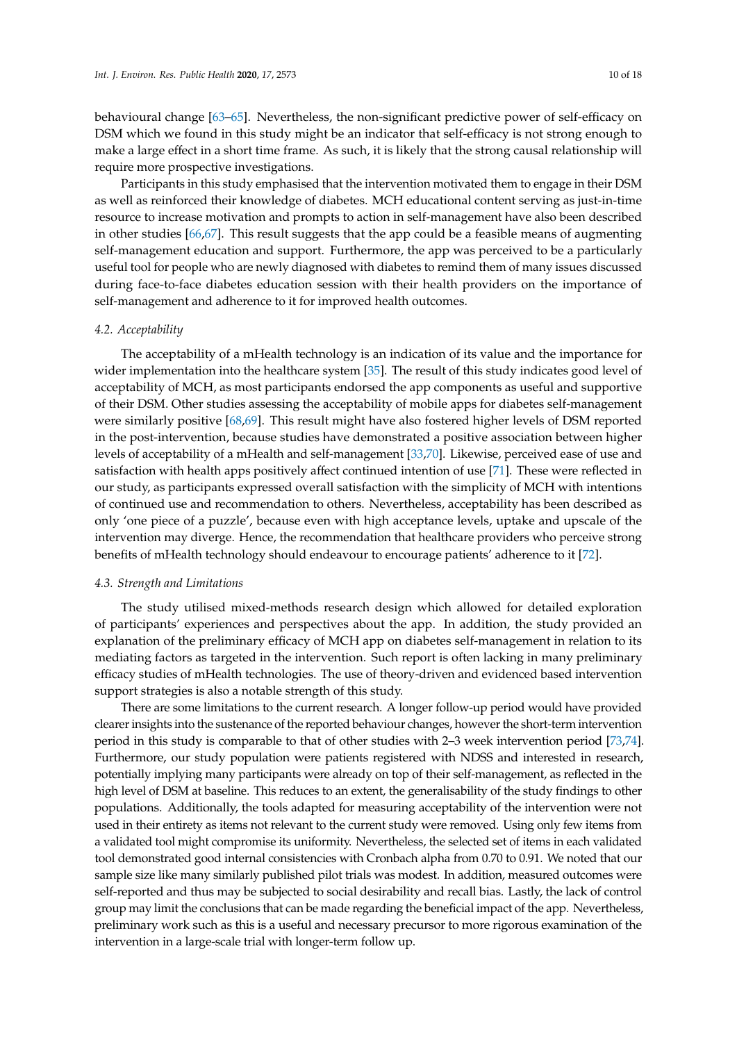behavioural change [\[63–](#page-17-6)[65\]](#page-17-7). Nevertheless, the non-significant predictive power of self-efficacy on DSM which we found in this study might be an indicator that self-efficacy is not strong enough to make a large effect in a short time frame. As such, it is likely that the strong causal relationship will require more prospective investigations.

Participants in this study emphasised that the intervention motivated them to engage in their DSM as well as reinforced their knowledge of diabetes. MCH educational content serving as just-in-time resource to increase motivation and prompts to action in self-management have also been described in other studies [\[66](#page-17-8)[,67\]](#page-17-9). This result suggests that the app could be a feasible means of augmenting self-management education and support. Furthermore, the app was perceived to be a particularly useful tool for people who are newly diagnosed with diabetes to remind them of many issues discussed during face-to-face diabetes education session with their health providers on the importance of self-management and adherence to it for improved health outcomes.

## *4.2. Acceptability*

The acceptability of a mHealth technology is an indication of its value and the importance for wider implementation into the healthcare system [\[35\]](#page-15-15). The result of this study indicates good level of acceptability of MCH, as most participants endorsed the app components as useful and supportive of their DSM. Other studies assessing the acceptability of mobile apps for diabetes self-management were similarly positive [\[68](#page-17-10)[,69\]](#page-17-11). This result might have also fostered higher levels of DSM reported in the post-intervention, because studies have demonstrated a positive association between higher levels of acceptability of a mHealth and self-management [\[33](#page-15-13)[,70\]](#page-17-12). Likewise, perceived ease of use and satisfaction with health apps positively affect continued intention of use [\[71\]](#page-17-13). These were reflected in our study, as participants expressed overall satisfaction with the simplicity of MCH with intentions of continued use and recommendation to others. Nevertheless, acceptability has been described as only 'one piece of a puzzle', because even with high acceptance levels, uptake and upscale of the intervention may diverge. Hence, the recommendation that healthcare providers who perceive strong benefits of mHealth technology should endeavour to encourage patients' adherence to it [\[72\]](#page-17-14).

#### *4.3. Strength and Limitations*

The study utilised mixed-methods research design which allowed for detailed exploration of participants' experiences and perspectives about the app. In addition, the study provided an explanation of the preliminary efficacy of MCH app on diabetes self-management in relation to its mediating factors as targeted in the intervention. Such report is often lacking in many preliminary efficacy studies of mHealth technologies. The use of theory-driven and evidenced based intervention support strategies is also a notable strength of this study.

There are some limitations to the current research. A longer follow-up period would have provided clearer insights into the sustenance of the reported behaviour changes, however the short-term intervention period in this study is comparable to that of other studies with 2–3 week intervention period [\[73,](#page-17-15)[74\]](#page-17-16). Furthermore, our study population were patients registered with NDSS and interested in research, potentially implying many participants were already on top of their self-management, as reflected in the high level of DSM at baseline. This reduces to an extent, the generalisability of the study findings to other populations. Additionally, the tools adapted for measuring acceptability of the intervention were not used in their entirety as items not relevant to the current study were removed. Using only few items from a validated tool might compromise its uniformity. Nevertheless, the selected set of items in each validated tool demonstrated good internal consistencies with Cronbach alpha from 0.70 to 0.91. We noted that our sample size like many similarly published pilot trials was modest. In addition, measured outcomes were self-reported and thus may be subjected to social desirability and recall bias. Lastly, the lack of control group may limit the conclusions that can be made regarding the beneficial impact of the app. Nevertheless, preliminary work such as this is a useful and necessary precursor to more rigorous examination of the intervention in a large-scale trial with longer-term follow up.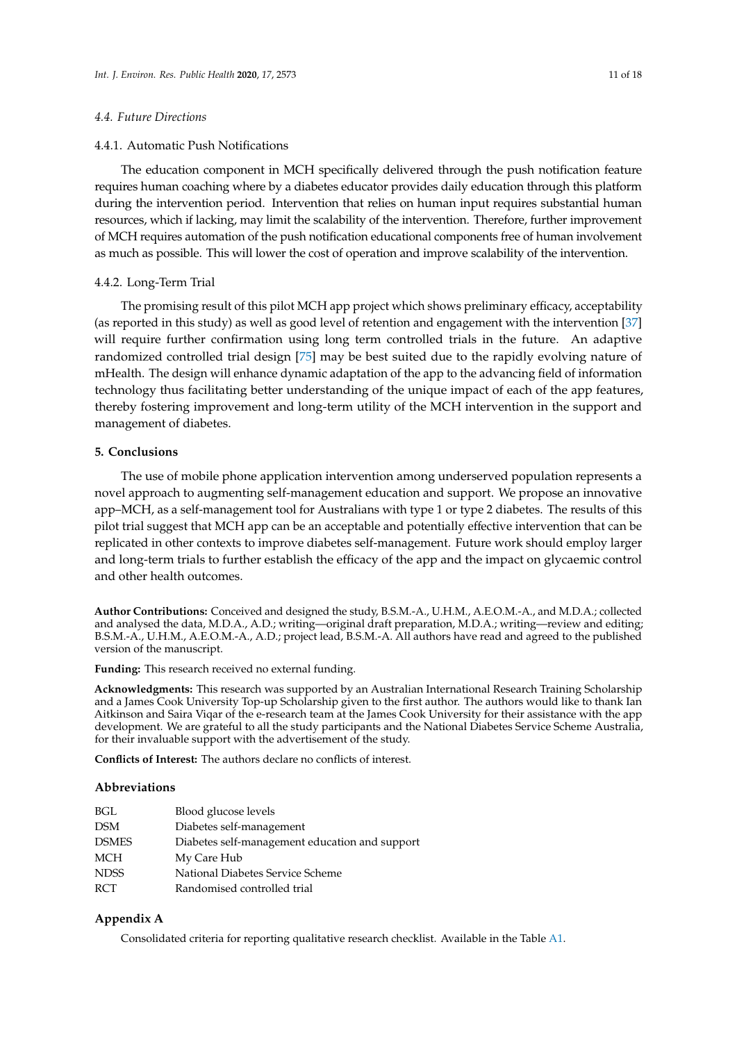## *4.4. Future Directions*

## 4.4.1. Automatic Push Notifications

The education component in MCH specifically delivered through the push notification feature requires human coaching where by a diabetes educator provides daily education through this platform during the intervention period. Intervention that relies on human input requires substantial human resources, which if lacking, may limit the scalability of the intervention. Therefore, further improvement of MCH requires automation of the push notification educational components free of human involvement as much as possible. This will lower the cost of operation and improve scalability of the intervention.

#### 4.4.2. Long-Term Trial

The promising result of this pilot MCH app project which shows preliminary efficacy, acceptability (as reported in this study) as well as good level of retention and engagement with the intervention [\[37\]](#page-16-1) will require further confirmation using long term controlled trials in the future. An adaptive randomized controlled trial design [\[75\]](#page-17-17) may be best suited due to the rapidly evolving nature of mHealth. The design will enhance dynamic adaptation of the app to the advancing field of information technology thus facilitating better understanding of the unique impact of each of the app features, thereby fostering improvement and long-term utility of the MCH intervention in the support and management of diabetes.

# **5. Conclusions**

The use of mobile phone application intervention among underserved population represents a novel approach to augmenting self-management education and support. We propose an innovative app–MCH, as a self-management tool for Australians with type 1 or type 2 diabetes. The results of this pilot trial suggest that MCH app can be an acceptable and potentially effective intervention that can be replicated in other contexts to improve diabetes self-management. Future work should employ larger and long-term trials to further establish the efficacy of the app and the impact on glycaemic control and other health outcomes.

**Author Contributions:** Conceived and designed the study, B.S.M.-A., U.H.M., A.E.O.M.-A., and M.D.A.; collected and analysed the data, M.D.A., A.D.; writing—original draft preparation, M.D.A.; writing—review and editing; B.S.M.-A., U.H.M., A.E.O.M.-A., A.D.; project lead, B.S.M.-A. All authors have read and agreed to the published version of the manuscript.

**Funding:** This research received no external funding.

**Acknowledgments:** This research was supported by an Australian International Research Training Scholarship and a James Cook University Top-up Scholarship given to the first author. The authors would like to thank Ian Aitkinson and Saira Viqar of the e-research team at the James Cook University for their assistance with the app development. We are grateful to all the study participants and the National Diabetes Service Scheme Australia, for their invaluable support with the advertisement of the study.

**Conflicts of Interest:** The authors declare no conflicts of interest.

#### **Abbreviations**

| BGL          | Blood glucose levels                           |
|--------------|------------------------------------------------|
| DSM          | Diabetes self-management                       |
| <b>DSMES</b> | Diabetes self-management education and support |
| MCH          | My Care Hub                                    |
| NDSS         | National Diabetes Service Scheme               |
| RCT          | Randomised controlled trial                    |
|              |                                                |

# <span id="page-10-0"></span>**Appendix A**

Consolidated criteria for reporting qualitative research checklist. Available in the Table [A1.](#page-13-0)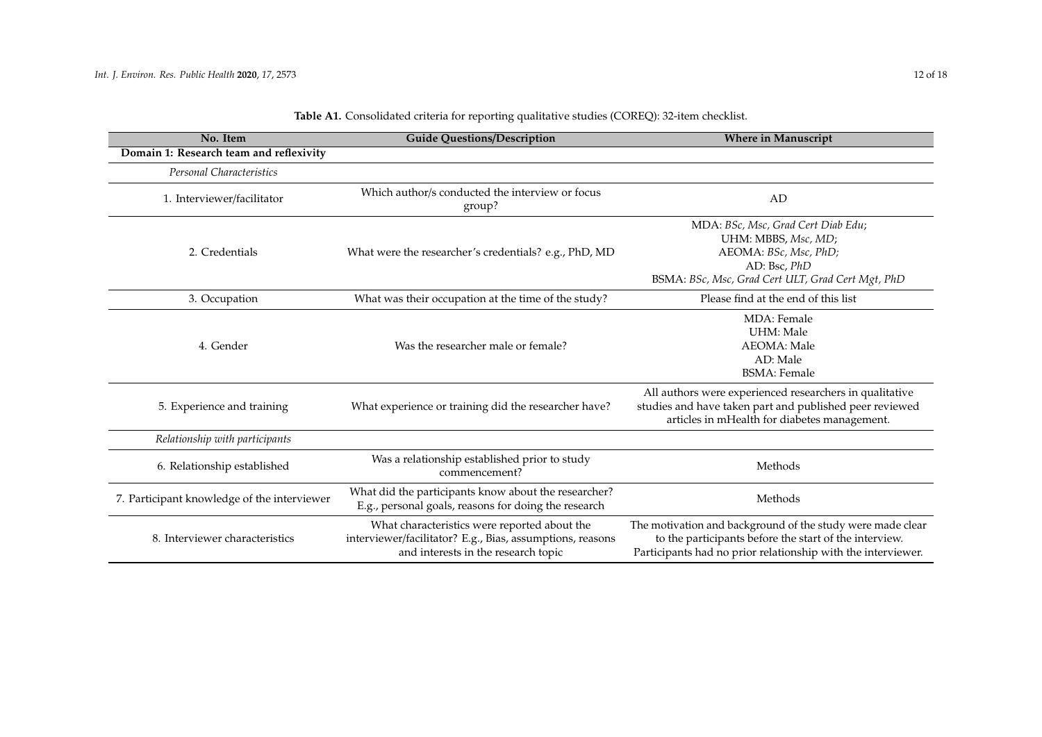| No. Item                                    | <b>Guide Questions/Description</b><br><b>Where in Manuscript</b>                                                                                 |                                                                                                                                                                                      |  |
|---------------------------------------------|--------------------------------------------------------------------------------------------------------------------------------------------------|--------------------------------------------------------------------------------------------------------------------------------------------------------------------------------------|--|
| Domain 1: Research team and reflexivity     |                                                                                                                                                  |                                                                                                                                                                                      |  |
| Personal Characteristics                    |                                                                                                                                                  |                                                                                                                                                                                      |  |
| 1. Interviewer/facilitator                  | Which author/s conducted the interview or focus<br>group?                                                                                        | AD                                                                                                                                                                                   |  |
| 2. Credentials                              | What were the researcher's credentials? e.g., PhD, MD                                                                                            | MDA: BSc, Msc, Grad Cert Diab Edu;<br>UHM: MBBS, Msc, MD;<br>AEOMA: BSc, Msc, PhD;<br>AD: Bsc, PhD<br>BSMA: BSc, Msc, Grad Cert ULT, Grad Cert Mgt, PhD                              |  |
| 3. Occupation                               | What was their occupation at the time of the study?                                                                                              | Please find at the end of this list                                                                                                                                                  |  |
| 4. Gender                                   | Was the researcher male or female?                                                                                                               | <b>MDA</b> : Female<br><b>UHM</b> : Male<br><b>AEOMA</b> : Male<br>AD: Male<br><b>BSMA</b> : Female                                                                                  |  |
| 5. Experience and training                  | What experience or training did the researcher have?                                                                                             | All authors were experienced researchers in qualitative<br>studies and have taken part and published peer reviewed<br>articles in mHealth for diabetes management.                   |  |
| Relationship with participants              |                                                                                                                                                  |                                                                                                                                                                                      |  |
| 6. Relationship established                 | Was a relationship established prior to study<br>commencement?                                                                                   | Methods                                                                                                                                                                              |  |
| 7. Participant knowledge of the interviewer | What did the participants know about the researcher?<br>E.g., personal goals, reasons for doing the research                                     | Methods                                                                                                                                                                              |  |
| 8. Interviewer characteristics              | What characteristics were reported about the<br>interviewer/facilitator? E.g., Bias, assumptions, reasons<br>and interests in the research topic | The motivation and background of the study were made clear<br>to the participants before the start of the interview.<br>Participants had no prior relationship with the interviewer. |  |

# Table A1. Consolidated criteria for reporting qualitative studies (COREQ): 32-item checklist.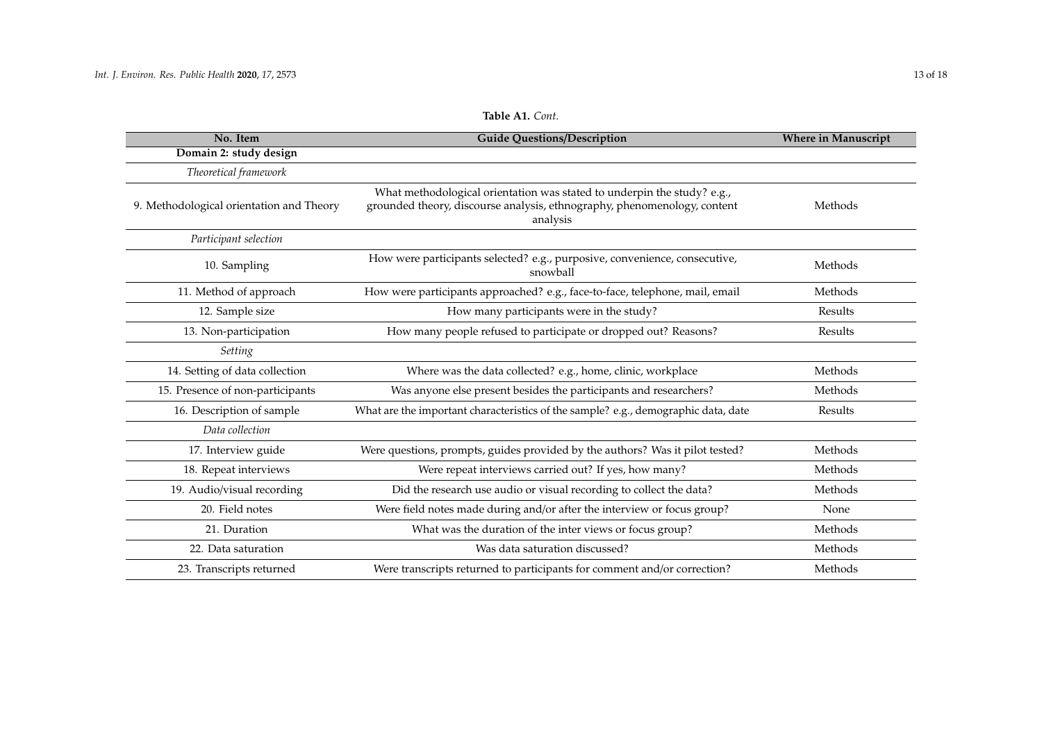| No. Item                                 | <b>Guide Questions/Description</b>                                                                                                                              | <b>Where in Manuscript</b> |
|------------------------------------------|-----------------------------------------------------------------------------------------------------------------------------------------------------------------|----------------------------|
| Domain 2: study design                   |                                                                                                                                                                 |                            |
| Theoretical framework                    |                                                                                                                                                                 |                            |
| 9. Methodological orientation and Theory | What methodological orientation was stated to underpin the study? e.g.,<br>grounded theory, discourse analysis, ethnography, phenomenology, content<br>analysis | Methods                    |
| Participant selection                    |                                                                                                                                                                 |                            |
| 10. Sampling                             | How were participants selected? e.g., purposive, convenience, consecutive,<br>snowball                                                                          | Methods                    |
| 11. Method of approach                   | How were participants approached? e.g., face-to-face, telephone, mail, email                                                                                    | Methods                    |
| 12. Sample size                          | How many participants were in the study?                                                                                                                        | Results                    |
| 13. Non-participation                    | How many people refused to participate or dropped out? Reasons?                                                                                                 | Results                    |
| Setting                                  |                                                                                                                                                                 |                            |
| 14. Setting of data collection           | Where was the data collected? e.g., home, clinic, workplace                                                                                                     | Methods                    |
| 15. Presence of non-participants         | Was anyone else present besides the participants and researchers?                                                                                               | Methods                    |
| 16. Description of sample                | What are the important characteristics of the sample? e.g., demographic data, date                                                                              | Results                    |
| Data collection                          |                                                                                                                                                                 |                            |
| 17. Interview guide                      | Were questions, prompts, guides provided by the authors? Was it pilot tested?                                                                                   | Methods                    |
| 18. Repeat interviews                    | Were repeat interviews carried out? If yes, how many?                                                                                                           | Methods                    |
| 19. Audio/visual recording               | Did the research use audio or visual recording to collect the data?                                                                                             | Methods                    |
| 20. Field notes                          | Were field notes made during and/or after the interview or focus group?                                                                                         | None                       |
| 21. Duration                             | What was the duration of the inter views or focus group?                                                                                                        | Methods                    |
| 22. Data saturation                      | Was data saturation discussed?                                                                                                                                  | Methods                    |
| 23. Transcripts returned                 | Were transcripts returned to participants for comment and/or correction?                                                                                        | Methods                    |

# **Table A1.** *Cont.*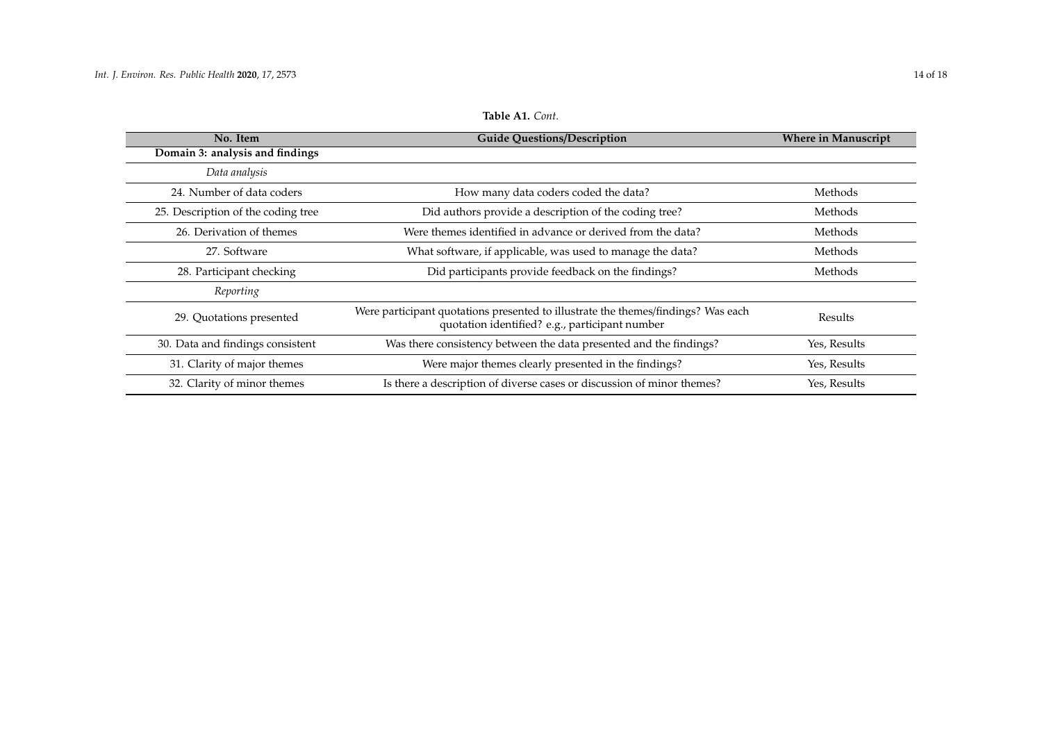<span id="page-13-0"></span>

| No. Item                           | <b>Guide Questions/Description</b>                                                                                                  | <b>Where in Manuscript</b> |
|------------------------------------|-------------------------------------------------------------------------------------------------------------------------------------|----------------------------|
| Domain 3: analysis and findings    |                                                                                                                                     |                            |
| Data analysis                      |                                                                                                                                     |                            |
| 24. Number of data coders          | How many data coders coded the data?                                                                                                | Methods                    |
| 25. Description of the coding tree | Did authors provide a description of the coding tree?                                                                               | Methods                    |
| 26. Derivation of themes           | Were themes identified in advance or derived from the data?                                                                         | Methods                    |
| 27. Software                       | What software, if applicable, was used to manage the data?                                                                          | Methods                    |
| 28. Participant checking           | Did participants provide feedback on the findings?                                                                                  | Methods                    |
| Reporting                          |                                                                                                                                     |                            |
| 29. Quotations presented           | Were participant quotations presented to illustrate the themes/findings? Was each<br>quotation identified? e.g., participant number | Results                    |
| 30. Data and findings consistent   | Was there consistency between the data presented and the findings?                                                                  | Yes, Results               |
| 31. Clarity of major themes        | Were major themes clearly presented in the findings?                                                                                | Yes, Results               |
| 32. Clarity of minor themes        | Is there a description of diverse cases or discussion of minor themes?                                                              | Yes, Results               |

**Table A1.** *Cont.*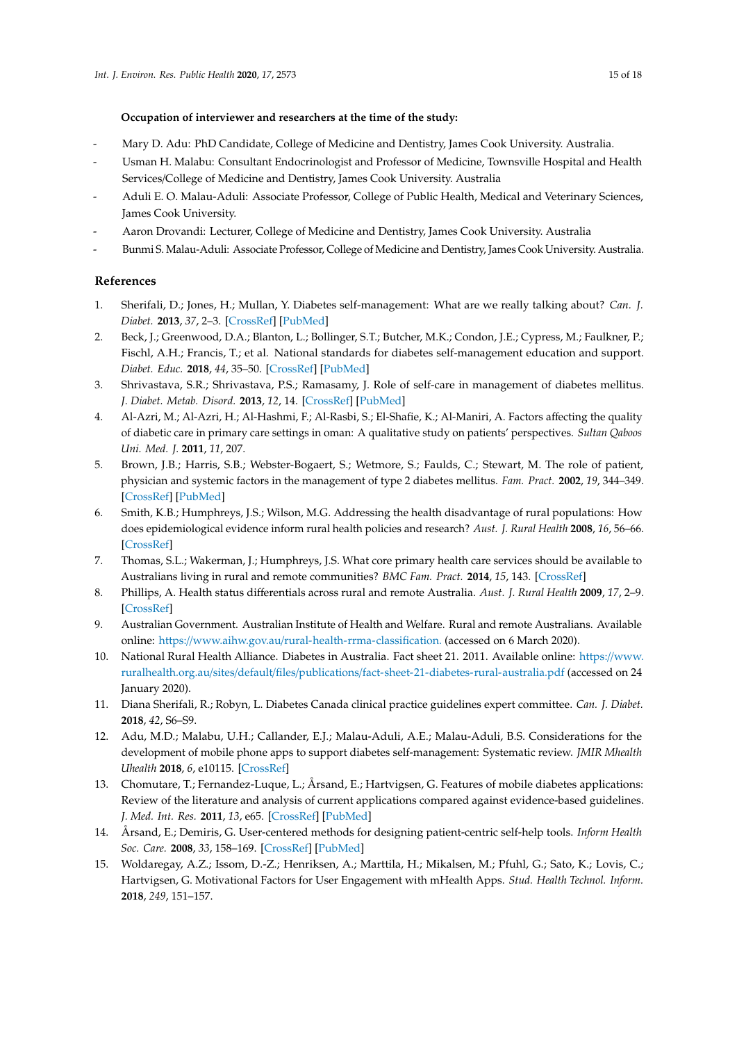## **Occupation of interviewer and researchers at the time of the study:**

- Mary D. Adu: PhD Candidate, College of Medicine and Dentistry, James Cook University. Australia.
- Usman H. Malabu: Consultant Endocrinologist and Professor of Medicine, Townsville Hospital and Health Services/College of Medicine and Dentistry, James Cook University. Australia
- Aduli E. O. Malau-Aduli: Associate Professor, College of Public Health, Medical and Veterinary Sciences, James Cook University.
- Aaron Drovandi: Lecturer, College of Medicine and Dentistry, James Cook University. Australia
- Bunmi S. Malau-Aduli: Associate Professor, College of Medicine and Dentistry, James Cook University. Australia.

# **References**

- <span id="page-14-0"></span>1. Sherifali, D.; Jones, H.; Mullan, Y. Diabetes self-management: What are we really talking about? *Can. J. Diabet.* **2013**, *37*, 2–3. [\[CrossRef\]](http://dx.doi.org/10.1016/j.jcjd.2013.01.003) [\[PubMed\]](http://www.ncbi.nlm.nih.gov/pubmed/24070741)
- <span id="page-14-1"></span>2. Beck, J.; Greenwood, D.A.; Blanton, L.; Bollinger, S.T.; Butcher, M.K.; Condon, J.E.; Cypress, M.; Faulkner, P.; Fischl, A.H.; Francis, T.; et al. National standards for diabetes self-management education and support. *Diabet. Educ.* **2018**, *44*, 35–50. [\[CrossRef\]](http://dx.doi.org/10.1177/0145721718754797) [\[PubMed\]](http://www.ncbi.nlm.nih.gov/pubmed/29346744)
- <span id="page-14-2"></span>3. Shrivastava, S.R.; Shrivastava, P.S.; Ramasamy, J. Role of self-care in management of diabetes mellitus. *J. Diabet. Metab. Disord.* **2013**, *12*, 14. [\[CrossRef\]](http://dx.doi.org/10.1186/2251-6581-12-14) [\[PubMed\]](http://www.ncbi.nlm.nih.gov/pubmed/23497559)
- <span id="page-14-3"></span>4. Al-Azri, M.; Al-Azri, H.; Al-Hashmi, F.; Al-Rasbi, S.; El-Shafie, K.; Al-Maniri, A. Factors affecting the quality of diabetic care in primary care settings in oman: A qualitative study on patients' perspectives. *Sultan Qaboos Uni. Med. J.* **2011**, *11*, 207.
- <span id="page-14-4"></span>5. Brown, J.B.; Harris, S.B.; Webster-Bogaert, S.; Wetmore, S.; Faulds, C.; Stewart, M. The role of patient, physician and systemic factors in the management of type 2 diabetes mellitus. *Fam. Pract.* **2002**, *19*, 344–349. [\[CrossRef\]](http://dx.doi.org/10.1093/fampra/19.4.344) [\[PubMed\]](http://www.ncbi.nlm.nih.gov/pubmed/12110552)
- <span id="page-14-5"></span>6. Smith, K.B.; Humphreys, J.S.; Wilson, M.G. Addressing the health disadvantage of rural populations: How does epidemiological evidence inform rural health policies and research? *Aust. J. Rural Health* **2008**, *16*, 56–66. [\[CrossRef\]](http://dx.doi.org/10.1111/j.1440-1584.2008.00953.x)
- <span id="page-14-6"></span>7. Thomas, S.L.; Wakerman, J.; Humphreys, J.S. What core primary health care services should be available to Australians living in rural and remote communities? *BMC Fam. Pract.* **2014**, *15*, 143. [\[CrossRef\]](http://dx.doi.org/10.1186/1471-2296-15-143)
- <span id="page-14-7"></span>8. Phillips, A. Health status differentials across rural and remote Australia. *Aust. J. Rural Health* **2009**, *17*, 2–9. [\[CrossRef\]](http://dx.doi.org/10.1111/j.1440-1584.2008.01029.x)
- <span id="page-14-8"></span>9. Australian Government. Australian Institute of Health and Welfare. Rural and remote Australians. Available online: https://www.aihw.gov.au/[rural-health-rrma-classification.](https://www.aihw.gov.au/rural-health-rrma-classification.) (accessed on 6 March 2020).
- <span id="page-14-9"></span>10. National Rural Health Alliance. Diabetes in Australia. Fact sheet 21. 2011. Available online: https://[www.](https://www.ruralhealth.org.au/sites/default/files/publications/fact-sheet-21-diabetes-rural-australia.pdf) ruralhealth.org.au/sites/default/files/publications/[fact-sheet-21-diabetes-rural-australia.pdf](https://www.ruralhealth.org.au/sites/default/files/publications/fact-sheet-21-diabetes-rural-australia.pdf) (accessed on 24 January 2020).
- <span id="page-14-10"></span>11. Diana Sherifali, R.; Robyn, L. Diabetes Canada clinical practice guidelines expert committee. *Can. J. Diabet.* **2018**, *42*, S6–S9.
- <span id="page-14-11"></span>12. Adu, M.D.; Malabu, U.H.; Callander, E.J.; Malau-Aduli, A.E.; Malau-Aduli, B.S. Considerations for the development of mobile phone apps to support diabetes self-management: Systematic review. *JMIR Mhealth Uhealth* **2018**, *6*, e10115. [\[CrossRef\]](http://dx.doi.org/10.2196/10115)
- <span id="page-14-12"></span>13. Chomutare, T.; Fernandez-Luque, L.; Årsand, E.; Hartvigsen, G. Features of mobile diabetes applications: Review of the literature and analysis of current applications compared against evidence-based guidelines. *J. Med. Int. Res.* **2011**, *13*, e65. [\[CrossRef\]](http://dx.doi.org/10.2196/jmir.1874) [\[PubMed\]](http://www.ncbi.nlm.nih.gov/pubmed/21979293)
- <span id="page-14-13"></span>14. Årsand, E.; Demiris, G. User-centered methods for designing patient-centric self-help tools. *Inform Health Soc. Care.* **2008**, *33*, 158–169. [\[CrossRef\]](http://dx.doi.org/10.1080/17538150802457562) [\[PubMed\]](http://www.ncbi.nlm.nih.gov/pubmed/18850399)
- <span id="page-14-14"></span>15. Woldaregay, A.Z.; Issom, D.-Z.; Henriksen, A.; Marttila, H.; Mikalsen, M.; Pfuhl, G.; Sato, K.; Lovis, C.; Hartvigsen, G. Motivational Factors for User Engagement with mHealth Apps. *Stud. Health Technol. Inform.* **2018**, *249*, 151–157.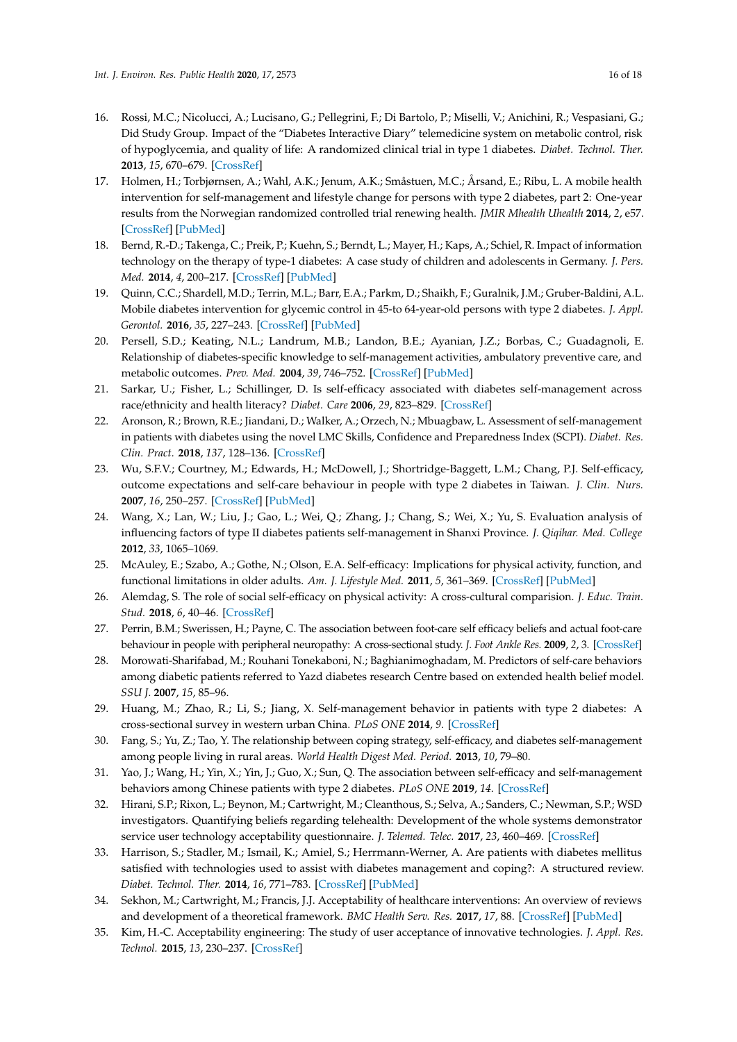- <span id="page-15-0"></span>16. Rossi, M.C.; Nicolucci, A.; Lucisano, G.; Pellegrini, F.; Di Bartolo, P.; Miselli, V.; Anichini, R.; Vespasiani, G.; Did Study Group. Impact of the "Diabetes Interactive Diary" telemedicine system on metabolic control, risk of hypoglycemia, and quality of life: A randomized clinical trial in type 1 diabetes. *Diabet. Technol. Ther.* **2013**, *15*, 670–679. [\[CrossRef\]](http://dx.doi.org/10.1089/dia.2013.0021)
- 17. Holmen, H.; Torbjørnsen, A.; Wahl, A.K.; Jenum, A.K.; Småstuen, M.C.; Årsand, E.; Ribu, L. A mobile health intervention for self-management and lifestyle change for persons with type 2 diabetes, part 2: One-year results from the Norwegian randomized controlled trial renewing health. *JMIR Mhealth Uhealth* **2014**, *2*, e57. [\[CrossRef\]](http://dx.doi.org/10.2196/mhealth.3882) [\[PubMed\]](http://www.ncbi.nlm.nih.gov/pubmed/25499872)
- 18. Bernd, R.-D.; Takenga, C.; Preik, P.; Kuehn, S.; Berndt, L.; Mayer, H.; Kaps, A.; Schiel, R. Impact of information technology on the therapy of type-1 diabetes: A case study of children and adolescents in Germany. *J. Pers. Med.* **2014**, *4*, 200–217. [\[CrossRef\]](http://dx.doi.org/10.3390/jpm4020200) [\[PubMed\]](http://www.ncbi.nlm.nih.gov/pubmed/25563223)
- <span id="page-15-1"></span>19. Quinn, C.C.; Shardell, M.D.; Terrin, M.L.; Barr, E.A.; Parkm, D.; Shaikh, F.; Guralnik, J.M.; Gruber-Baldini, A.L. Mobile diabetes intervention for glycemic control in 45-to 64-year-old persons with type 2 diabetes. *J. Appl. Gerontol.* **2016**, *35*, 227–243. [\[CrossRef\]](http://dx.doi.org/10.1177/0733464814542611) [\[PubMed\]](http://www.ncbi.nlm.nih.gov/pubmed/25098253)
- <span id="page-15-2"></span>20. Persell, S.D.; Keating, N.L.; Landrum, M.B.; Landon, B.E.; Ayanian, J.Z.; Borbas, C.; Guadagnoli, E. Relationship of diabetes-specific knowledge to self-management activities, ambulatory preventive care, and metabolic outcomes. *Prev. Med.* **2004**, *39*, 746–752. [\[CrossRef\]](http://dx.doi.org/10.1016/j.ypmed.2004.02.045) [\[PubMed\]](http://www.ncbi.nlm.nih.gov/pubmed/15351541)
- <span id="page-15-3"></span>21. Sarkar, U.; Fisher, L.; Schillinger, D. Is self-efficacy associated with diabetes self-management across race/ethnicity and health literacy? *Diabet. Care* **2006**, *29*, 823–829. [\[CrossRef\]](http://dx.doi.org/10.2337/diacare.29.04.06.dc05-1615)
- <span id="page-15-4"></span>22. Aronson, R.; Brown, R.E.; Jiandani, D.; Walker, A.; Orzech, N.; Mbuagbaw, L. Assessment of self-management in patients with diabetes using the novel LMC Skills, Confidence and Preparedness Index (SCPI). *Diabet. Res. Clin. Pract.* **2018**, *137*, 128–136. [\[CrossRef\]](http://dx.doi.org/10.1016/j.diabres.2017.10.028)
- <span id="page-15-5"></span>23. Wu, S.F.V.; Courtney, M.; Edwards, H.; McDowell, J.; Shortridge-Baggett, L.M.; Chang, P.J. Self-efficacy, outcome expectations and self-care behaviour in people with type 2 diabetes in Taiwan. *J. Clin. Nurs.* **2007**, *16*, 250–257. [\[CrossRef\]](http://dx.doi.org/10.1111/j.1365-2702.2006.01930.x) [\[PubMed\]](http://www.ncbi.nlm.nih.gov/pubmed/17931318)
- <span id="page-15-6"></span>24. Wang, X.; Lan, W.; Liu, J.; Gao, L.; Wei, Q.; Zhang, J.; Chang, S.; Wei, X.; Yu, S. Evaluation analysis of influencing factors of type II diabetes patients self-management in Shanxi Province. *J. Qiqihar. Med. College* **2012**, *33*, 1065–1069.
- <span id="page-15-7"></span>25. McAuley, E.; Szabo, A.; Gothe, N.; Olson, E.A. Self-efficacy: Implications for physical activity, function, and functional limitations in older adults. *Am. J. Lifestyle Med.* **2011**, *5*, 361–369. [\[CrossRef\]](http://dx.doi.org/10.1177/1559827610392704) [\[PubMed\]](http://www.ncbi.nlm.nih.gov/pubmed/24353482)
- <span id="page-15-8"></span>26. Alemdag, S. The role of social self-efficacy on physical activity: A cross-cultural comparision. *J. Educ. Train. Stud.* **2018**, *6*, 40–46. [\[CrossRef\]](http://dx.doi.org/10.11114/jets.v6i5.2996)
- <span id="page-15-9"></span>27. Perrin, B.M.; Swerissen, H.; Payne, C. The association between foot-care self efficacy beliefs and actual foot-care behaviour in people with peripheral neuropathy: A cross-sectional study. *J. Foot Ankle Res.* **2009**, *2*, 3. [\[CrossRef\]](http://dx.doi.org/10.1186/1757-1146-2-3)
- <span id="page-15-10"></span>28. Morowati-Sharifabad, M.; Rouhani Tonekaboni, N.; Baghianimoghadam, M. Predictors of self-care behaviors among diabetic patients referred to Yazd diabetes research Centre based on extended health belief model. *SSU J.* **2007**, *15*, 85–96.
- 29. Huang, M.; Zhao, R.; Li, S.; Jiang, X. Self-management behavior in patients with type 2 diabetes: A cross-sectional survey in western urban China. *PLoS ONE* **2014**, *9*. [\[CrossRef\]](http://dx.doi.org/10.1371/journal.pone.0095138)
- 30. Fang, S.; Yu, Z.; Tao, Y. The relationship between coping strategy, self-efficacy, and diabetes self-management among people living in rural areas. *World Health Digest Med. Period.* **2013**, *10*, 79–80.
- <span id="page-15-11"></span>31. Yao, J.; Wang, H.; Yin, X.; Yin, J.; Guo, X.; Sun, Q. The association between self-efficacy and self-management behaviors among Chinese patients with type 2 diabetes. *PLoS ONE* **2019**, *14*. [\[CrossRef\]](http://dx.doi.org/10.1371/journal.pone.0224869)
- <span id="page-15-12"></span>32. Hirani, S.P.; Rixon, L.; Beynon, M.; Cartwright, M.; Cleanthous, S.; Selva, A.; Sanders, C.; Newman, S.P.; WSD investigators. Quantifying beliefs regarding telehealth: Development of the whole systems demonstrator service user technology acceptability questionnaire. *J. Telemed. Telec.* **2017**, *23*, 460–469. [\[CrossRef\]](http://dx.doi.org/10.1177/1357633X16649531)
- <span id="page-15-13"></span>33. Harrison, S.; Stadler, M.; Ismail, K.; Amiel, S.; Herrmann-Werner, A. Are patients with diabetes mellitus satisfied with technologies used to assist with diabetes management and coping?: A structured review. *Diabet. Technol. Ther.* **2014**, *16*, 771–783. [\[CrossRef\]](http://dx.doi.org/10.1089/dia.2014.0062) [\[PubMed\]](http://www.ncbi.nlm.nih.gov/pubmed/25069057)
- <span id="page-15-14"></span>34. Sekhon, M.; Cartwright, M.; Francis, J.J. Acceptability of healthcare interventions: An overview of reviews and development of a theoretical framework. *BMC Health Serv. Res.* **2017**, *17*, 88. [\[CrossRef\]](http://dx.doi.org/10.1186/s12913-017-2031-8) [\[PubMed\]](http://www.ncbi.nlm.nih.gov/pubmed/28126032)
- <span id="page-15-15"></span>35. Kim, H.-C. Acceptability engineering: The study of user acceptance of innovative technologies. *J. Appl. Res. Technol.* **2015**, *13*, 230–237. [\[CrossRef\]](http://dx.doi.org/10.1016/j.jart.2015.06.001)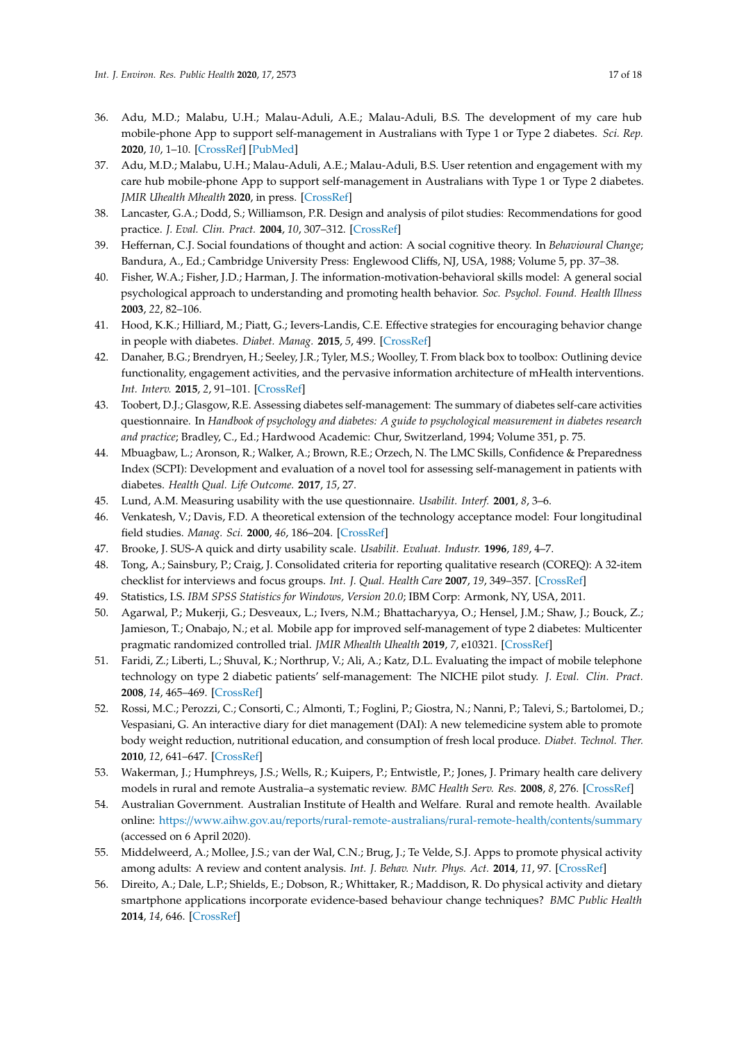- <span id="page-16-0"></span>36. Adu, M.D.; Malabu, U.H.; Malau-Aduli, A.E.; Malau-Aduli, B.S. The development of my care hub mobile-phone App to support self-management in Australians with Type 1 or Type 2 diabetes. *Sci. Rep.* **2020**, *10*, 1–10. [\[CrossRef\]](http://dx.doi.org/10.1038/s41598-019-56411-0) [\[PubMed\]](http://www.ncbi.nlm.nih.gov/pubmed/31913296)
- <span id="page-16-1"></span>37. Adu, M.D.; Malabu, U.H.; Malau-Aduli, A.E.; Malau-Aduli, B.S. User retention and engagement with my care hub mobile-phone App to support self-management in Australians with Type 1 or Type 2 diabetes. *JMIR Uhealth Mhealth* **2020**, in press. [\[CrossRef\]](http://dx.doi.org/10.2196/17802)
- <span id="page-16-2"></span>38. Lancaster, G.A.; Dodd, S.; Williamson, P.R. Design and analysis of pilot studies: Recommendations for good practice. *J. Eval. Clin. Pract.* **2004**, *10*, 307–312. [\[CrossRef\]](http://dx.doi.org/10.1111/j..2002.384.doc.x)
- <span id="page-16-3"></span>39. Heffernan, C.J. Social foundations of thought and action: A social cognitive theory. In *Behavioural Change*; Bandura, A., Ed.; Cambridge University Press: Englewood Cliffs, NJ, USA, 1988; Volume 5, pp. 37–38.
- <span id="page-16-4"></span>40. Fisher, W.A.; Fisher, J.D.; Harman, J. The information-motivation-behavioral skills model: A general social psychological approach to understanding and promoting health behavior. *Soc. Psychol. Found. Health Illness* **2003**, *22*, 82–106.
- <span id="page-16-5"></span>41. Hood, K.K.; Hilliard, M.; Piatt, G.; Ievers-Landis, C.E. Effective strategies for encouraging behavior change in people with diabetes. *Diabet. Manag.* **2015**, *5*, 499. [\[CrossRef\]](http://dx.doi.org/10.2217/dmt.15.43)
- <span id="page-16-6"></span>42. Danaher, B.G.; Brendryen, H.; Seeley, J.R.; Tyler, M.S.; Woolley, T. From black box to toolbox: Outlining device functionality, engagement activities, and the pervasive information architecture of mHealth interventions. *Int. Interv.* **2015**, *2*, 91–101. [\[CrossRef\]](http://dx.doi.org/10.1016/j.invent.2015.01.002)
- <span id="page-16-7"></span>43. Toobert, D.J.; Glasgow, R.E. Assessing diabetes self-management: The summary of diabetes self-care activities questionnaire. In *Handbook of psychology and diabetes: A guide to psychological measurement in diabetes research and practice*; Bradley, C., Ed.; Hardwood Academic: Chur, Switzerland, 1994; Volume 351, p. 75.
- <span id="page-16-8"></span>44. Mbuagbaw, L.; Aronson, R.; Walker, A.; Brown, R.E.; Orzech, N. The LMC Skills, Confidence & Preparedness Index (SCPI): Development and evaluation of a novel tool for assessing self-management in patients with diabetes. *Health Qual. Life Outcome.* **2017**, *15*, 27.
- <span id="page-16-9"></span>45. Lund, A.M. Measuring usability with the use questionnaire. *Usabilit. Interf.* **2001**, *8*, 3–6.
- 46. Venkatesh, V.; Davis, F.D. A theoretical extension of the technology acceptance model: Four longitudinal field studies. *Manag. Sci.* **2000**, *46*, 186–204. [\[CrossRef\]](http://dx.doi.org/10.1287/mnsc.46.2.186.11926)
- <span id="page-16-10"></span>47. Brooke, J. SUS-A quick and dirty usability scale. *Usabilit. Evaluat. Industr.* **1996**, *189*, 4–7.
- <span id="page-16-11"></span>48. Tong, A.; Sainsbury, P.; Craig, J. Consolidated criteria for reporting qualitative research (COREQ): A 32-item checklist for interviews and focus groups. *Int. J. Qual. Health Care* **2007**, *19*, 349–357. [\[CrossRef\]](http://dx.doi.org/10.1093/intqhc/mzm042)
- <span id="page-16-13"></span><span id="page-16-12"></span>49. Statistics, I.S. *IBM SPSS Statistics for Windows, Version 20.0*; IBM Corp: Armonk, NY, USA, 2011.
- 50. Agarwal, P.; Mukerji, G.; Desveaux, L.; Ivers, N.M.; Bhattacharyya, O.; Hensel, J.M.; Shaw, J.; Bouck, Z.; Jamieson, T.; Onabajo, N.; et al. Mobile app for improved self-management of type 2 diabetes: Multicenter pragmatic randomized controlled trial. *JMIR Mhealth Uhealth* **2019**, *7*, e10321. [\[CrossRef\]](http://dx.doi.org/10.2196/10321)
- <span id="page-16-14"></span>51. Faridi, Z.; Liberti, L.; Shuval, K.; Northrup, V.; Ali, A.; Katz, D.L. Evaluating the impact of mobile telephone technology on type 2 diabetic patients' self-management: The NICHE pilot study. *J. Eval. Clin. Pract.* **2008**, *14*, 465–469. [\[CrossRef\]](http://dx.doi.org/10.1111/j.1365-2753.2007.00881.x)
- <span id="page-16-15"></span>52. Rossi, M.C.; Perozzi, C.; Consorti, C.; Almonti, T.; Foglini, P.; Giostra, N.; Nanni, P.; Talevi, S.; Bartolomei, D.; Vespasiani, G. An interactive diary for diet management (DAI): A new telemedicine system able to promote body weight reduction, nutritional education, and consumption of fresh local produce. *Diabet. Technol. Ther.* **2010**, *12*, 641–647. [\[CrossRef\]](http://dx.doi.org/10.1089/dia.2010.0025)
- <span id="page-16-16"></span>53. Wakerman, J.; Humphreys, J.S.; Wells, R.; Kuipers, P.; Entwistle, P.; Jones, J. Primary health care delivery models in rural and remote Australia–a systematic review. *BMC Health Serv. Res.* **2008**, *8*, 276. [\[CrossRef\]](http://dx.doi.org/10.1186/1472-6963-8-276)
- <span id="page-16-17"></span>54. Australian Government. Australian Institute of Health and Welfare. Rural and remote health. Available online: https://www.aihw.gov.au/reports/[rural-remote-australians](https://www.aihw.gov.au/reports/rural-remote-australians/rural-remote-health/contents/summary)/rural-remote-health/contents/summary (accessed on 6 April 2020).
- <span id="page-16-18"></span>55. Middelweerd, A.; Mollee, J.S.; van der Wal, C.N.; Brug, J.; Te Velde, S.J. Apps to promote physical activity among adults: A review and content analysis. *Int. J. Behav. Nutr. Phys. Act.* **2014**, *11*, 97. [\[CrossRef\]](http://dx.doi.org/10.1186/s12966-014-0097-9)
- <span id="page-16-19"></span>56. Direito, A.; Dale, L.P.; Shields, E.; Dobson, R.; Whittaker, R.; Maddison, R. Do physical activity and dietary smartphone applications incorporate evidence-based behaviour change techniques? *BMC Public Health* **2014**, *14*, 646. [\[CrossRef\]](http://dx.doi.org/10.1186/1471-2458-14-646)